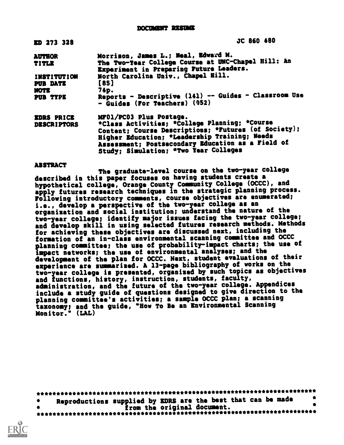**DOCUMENT RESUME** 

| ED 273 328                                         | JC 860 480                                                                                                                                                                                                                                                                      |
|----------------------------------------------------|---------------------------------------------------------------------------------------------------------------------------------------------------------------------------------------------------------------------------------------------------------------------------------|
| <b>AUTHOR</b><br>TITLE                             | Morrison, James L.; Meal, Edward M.<br>The Two-Year College Course at UNC-Chapel Hill: An<br>Experiment in Preparing Future Leaders.                                                                                                                                            |
| <b>INSTITUTION</b><br>PUB DATE<br>NOTE<br>PUB TYPE | North Carolina Univ., Chapel Hill.<br>[85]<br>74p.<br>Reports - Descriptive (141) -- Guides - Classroom Use<br>- Guides (For Teachers) (052)                                                                                                                                    |
| <b>EDRS PRICE</b><br><b>DESCRIPTORS</b>            | MF01/PC03 Plus Postage.<br>*Class Activities; *College Planning; *Course<br>Content; Course Descriptions; *Futures (of Society);<br>Higher Education; *Leadership Training; Needs<br>Assessment; Postsecondary Education as a Field of<br>Study; Simulation; *Two Year Colleges |

#### ABSTRACT

The graduate-level course on the two-year college described in this paper focuses on having students create a hypothetical college, Orange County Community College (OCCC), and apply futures research techniques in the strategic planning process. Following introductory comments, course objectives are enumerated; i.e., develop a perspective of the two-year college as an organisation and social institution; understand the nature of the two-year college; identify major issues facing the two-year college; and develop skill in using selected futures research methods. Methods for achieving these objectives are discussed next, including the formation of an in-class environmental scanning committee and OCCC planning committee; the use of probability-impact charts; the use of impact networks; the use ot environmental analyses; and the development of the plan for OCCC. Next, student evaluations of their experience are summarized. A 13-page bibliography of works on the two-year college is presented, organised by such topics as objectives and functions, history, instruction, students, faculty, administration, and the future of the two-year college. Appendices include a study guide of questions designed to give direction to the planning committee's activities; a sample OCCC plan; a scanning taxonomy; and the guide, "How To Se an Environmental Scanning Monitor." (LAL)

\*\*\*\*\*\*\*\*\*\*\*\*\*\*\*\*\*\*\*\*\*\*\*\*\*\*\*\*\*\*\*\*\*\*\*\*\*\*\*\*\*\*\*\*\*\*\*\*\*\*\*\*\*\*\*\*\*\*\*\*\*\*\*\*\*\*\*\*\*\*\* \* Reproductions supplied by EDRS are the best that can be made \* \* from the original document. \* \*\*\*\*\*\*\*\*\*\*\*\*\*\*\*\*\*\*\*\*\*\*\*\*\*\*\*\*\*\*\*\*\*\*\*\*\*\*\*\*\*\*\*\*\*\*\*\*\*\*\*\*\*\*\*\*\*\*\*\*\*\*\*\*\*\*\*\*\*\*\*

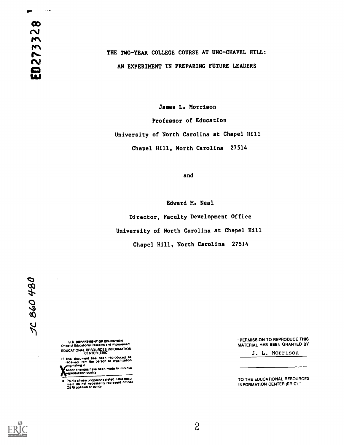IP"

# THE TWO-YEAR COLLEGE COURSE AT UNC-CHAPEL HILL: AN EXPERIMENT IN PREPARING FUTURE LEADERS

James L. Morrison Professor of Education University of North Carolina at Chapel Hill Chapel Hill, North Carolina 27514

and

Edward M. Neal

Director, Faculty Development Office University of North Carolina at Chapel Hill

Chapel Hill, North Carolina 27514

US. DEPARTMENT OF EDUCATION Once of Educatoonal Research and improvement EDUCATIONAL RESOURCES INFORMATION CENTER (ERIC)

D This document has been reproduced as<br>| received from the person or organizetion<br>| soriginating it

Minor changes hay\* been made to improve reproduction quality

Points of view ur opinions stated in this docu-<br>ment : do .not .necessarily .represent .official<br>OERI position or policy

"PERMISSION TO REPRODUCE THIS MATERIAL HAS BEEN GRANTED BY

J. L. Morrison

TO THE EDUCATIONAL RESOURCES INFORMATION CENTER (ERIC)."

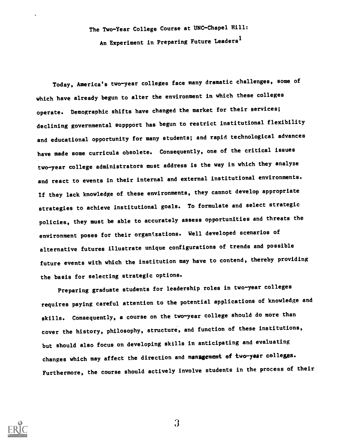The Two-Year College Course at UNC-Chapel Hill: An Experiment in Preparing Future Leaders<sup>1</sup>

Today, America's two-year colleges face many dramatic challenges, some of which have already begun to alter the environment in which these colleges operate. Demographic shifts have changed the market for their services; declining governmental suppport has begun to restrict institutional flexibility and educational opportunity for many students; and rapid technological advances have made some curricula obsolete. Consequently, one of the critical issues two-year college administrators must address is the way in which they analyze and react to events in their internal and external institutional environments. If they lack knowledge of these environments, they cannot develop appropriate strategies to achieve institutional goals. To formulate and select strategic policies, they must be able to accurately assess opportunities and threats the environment poses for their organizations. Well developed scenarios of alternative futures illustrate unique configurations of trends and possible future events with which the institution may have to contend, thereby providing the basis for selecting strategic options.

Preparing graduate students for leadership roles in two-year colleges requires paying careful attention to the potential applications of knowledge and skills. Consequently, a course on the two-year college should do more than cover the history, philosophy, structure, and function of these institutions, but should also focus on developing skills in anticipating and evaluating changes which may affect the direction and management of two-year colleges. Furthermore, the course should actively involve students in the process of their



 $\Omega$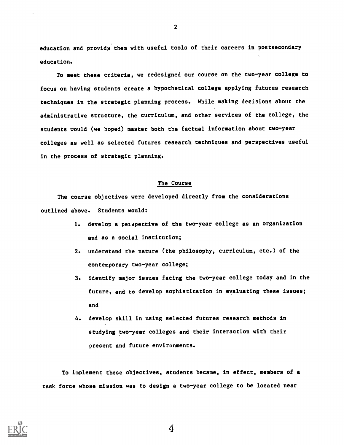education and provide them with useful tools of their careers in postsecondary education.

To meet these criteria, we redesigned our course on the two-year college to focus on having students create a hypothetical college applying futures research techniques in the strategic planning process. While making decisions about the administrative structure, the curriculum, and other services of the college, the students would (we hoped) master both the factual information about two-year colleges as well as selected futures research techniques and perspectives useful in the process of strategic planning.

#### The Course

The course objectives were developed directly from the considerations outlined above. Students would:

- 1. develop a petapective of the two-year college as an organization and as a social institution;
- 2. understand the nature (the philosophy, curriculum, etc.) of the contemporary two-year college;
- 3. identify major issues facing the two-year college today and in the future, and to develop sophistication in evaluating these issues; and
- 4. develop skill in using selected futures research methods in studying two-year colleges and their interaction with their present and future environments.

To implement these objectives, students became, in effect, members of a task force whose mission was to design a two-year college to be located near



2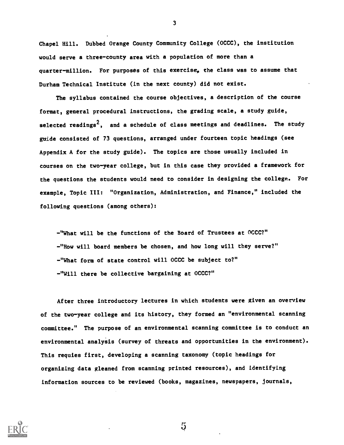Chapel Hill. Dubbed Orange County Community College (OCCC), the institution would serve a three-county area with a population of more than a quarter-million. For purposes of this exercise, the class was to assume that Durham Technical Institute (in the next county) did not exist.

The syllabus contained the course objectives, a description of the course format, general procedural instructions, the grading scale, a study guide, selected readings $^{\mathbf{Z}}$ , and a schedule of class meetings and deadlines. The study guide consisted of 73 questions, arranged under fourteen topic headings (see Appendix A for the study guide). The topics are those usually included in courses on the two-year college, but in this case they provided a framework for the questions the students would need to consider in designing the college. For example, Topic III: "Organization, Administration, and Finance," included the following questions (among others):

"What will be the functions of the Board of Trustees at OCCC?" "How will board members be chosen, and how long will they serve?" "What form of state control will OCCC be subject to?" "Will there be collective bargaining at OCCC?"

After three introductory lectures in which students were given an overview of the two-year college and its history, they formed an "environmental scanning committee." The purpose of an environmental scanning committee is to conduct an environmental analyeis (survey of threats and opportunities in the environment). This requies first, developing a scanning taxonomy (topic headings for organizing data gleaned from scanning printed resources), and identifying information sources to be reviewed (books, magazines, newspapers, journals,



3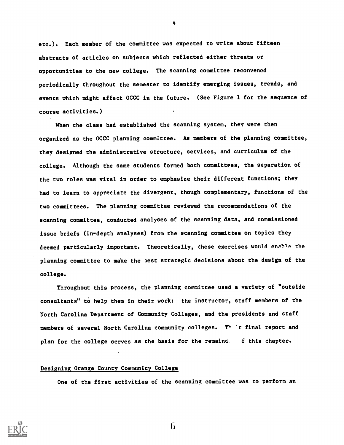etc.). Each member of the committee was expected to write about fifteen abstracts of articles on subjects which reflected either threats or opportunities to the new college. The scanning committee reconvened periodically throughout the semester to identify emerging issues, trends, and events which might affect OCCC in the future. (See Figure 1 for the sequence of course activities.)

When the class had established the scanning system, they were then organized as the OCCC planning committee. As members of the planning committee, they designed the administrative structure, services, and curriculum of the college. Although the same students formed both committees, the separation of the two roles was vital in order to emphasize their different functions; they had to learn to appreciate the divergent, though complementary, functions of the two committees. The planning committee reviewed the recommendations of the scanning committee, conducted analyses of the scanning data, and commissioned issue briefs (in-depth analyses) from the scanning committee on topics they deemed particularly important. Theoretically, these exercises would enable the planning committee to make the best strategic decisions about the design of the college.

Throughout this process, the planning committee used a variety of "outside consultants" to help them in their work: the instructor, staff members of the North Carolina Department of Community Colleges, and the presidents and staff members of several North Carolina community colleges. Their final report and plan for the college serves as the basis for the remaind. If this chapter.

#### Designing Orange County Community College

One of the first activities of the scanning committee was to perform an



4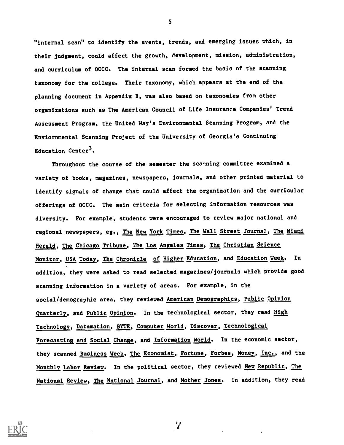"internal scan" to identify the events, trends, and emerging issues which, in their judgment, could affect the growth, development, mission, administration, and curriculum of OCCC. The internal scan formed the basis of the scanning taxonomy for the college. Their taxonomy, which appears at the end of the planning document in Appendix B, was also based on taxonomies from other organizations such as The American Council of Life Insurance Companies' Trend Assessment Program, the United Way's Environmental Scanning Program, and the Enviornmental Scanning Project of the University of Georgia's Continuing Education Center<sup>3</sup>.

Throughout the course of the semester the scanning committee examined a variety of books, magazines, newspapers, journals, and other printed material to identify signals of change that could affect the organization and the curricular offerings of OCCC. The main criteria for selecting information resources was diversity. For example, students were encouraged to review major national and regional newspapers, eg., The New York Times, The Wall Street Journal, The Miami Herald, The Chicago Tribune, The Los Angeles Times, The Christian Science Monitor, USA Today, The Chronicle of Higher Education, and Education Week. In addition, they were asked to read selected magazines/journals which provide good scanning information in a variety of areas. For example, in the social/demographic area, they reviewed American Demographics, Public Opinion Quarterly, and Public Opinion. In the technological sector, they read High Technology, Datamation, BYTE, Computer World, Discover, Technological Forecasting and Social Change, and Information World. In the economic sector, they scanned Business Week, The Economist, Fortune, Forbes, Money, Inc., and the Monthly Labor Review. In the political sector, they reviewed New Republic, The National Review, The National Journal, and Mother Jones. In addition, they read

 $\overline{7}$ 

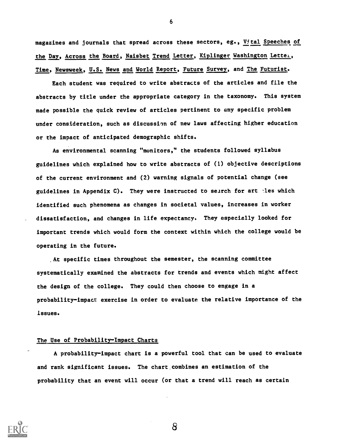magazines and journals that spread across these sectors, eg., Vital Speeches of the Day, Across the Board, Naisbet Trend Letter, Kiplinger Washington Letter, Time, Newsweek, U.S. News and World Report, Future Survey, and The Futurist.

Each student was required to write abstracts of the articles and file the abstracts by title under the appropriate category in the taxonomy. This system made possible the quick review of articles pertinent to any specific problem under consideration, such as discussion of new laws affecting higher education or the impact of anticipated demographic shifts.

As environmental scanning "monitors," the students followed syllabus guidelines which explained how to write abstracts of (1) objective descriptions of the current environment and (2) warning signals of potential change (see guidelines in Appendix C). They were instructed to search for art -les which identified such phenomena as changes in societal values, increases in worker dissatisfaction, and changes in life expectancy. They especially looked for important trends which would form the context within which the college would be operating in the future.

.At specific times throughout the semester, the scanning committee systematically examined the abstracts for trends and events which might affect the design of the college. They could then choose to engage in a probability-impact exercise in order to evaluate the relative importance of the issues.

#### The Use of Probability-Impact Charts

A probability-impact chart is a powerful tool that can be used to evaluate and rank significant issues. The chart.combines an estimation of the probability that an event will occur (or that a trend will reach as certain



6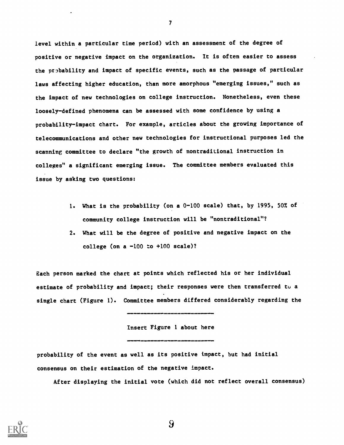level within a particular time period) with an assessment of the degree of positive or negative impact on the organization. It is often easier to assess the probability and impact of specific events, such as the passage of particular laws affecting higher education, than more amorphous "emerging issues," such as the impact of new technologies on college instruction. Nonetheless, even these loosely-defined phenomena can be assessed with some confidence by using a probability-impact chart. For example, articles about the growing importance of telecommunications and other new technologies for instructional purposes led the scanning committee to declare "the growth of nontraditional instruction in colleges" a significant emerging issue. The committee members evaluated this issue by asking two questions:

- 1. What is the probability (on a 0-100 scale) that, by 1995, 50% of community college instruction will be "nontraditional"?
- 2. What will be the degree of positive and negative impact on the college (on a  $-100$  to  $+100$  scale)?

Each person marked the chart at points which reflected his or her individual estimate of probability and impact; their responses were then transferred to a single chart (Figure 1). Committee members differed considerably regarding the

Insert Figure 1 about here

......

probability of the event as well as its positive impact, but had initial consensus on their estimation of the negative impact.

After displaying the initial vote (which did not reflect overall consensus)



7

 $9\overline{)}$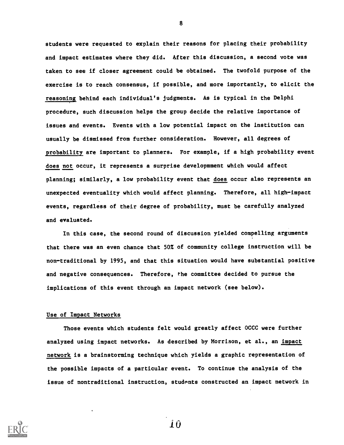students were requested to explain their reasons for placing their probability and impact estimates where they did. After this discussion, a second vote was taken to see if closer agreement could be obtained. The twofold purpose of the exercise is to reach consensus, if possible, and more importantly, to elicit the reasoning behind each individual's judgments. As is typical in the Delphi procedure, such discussion helps the group decide the relative importance of issues and events. Events with a low potential impact on the institution can usually be dismissed from further consideration. However, all degrees of probability are important to planners. For example, if a high probability event does not occur, it represents a surprise developmment which would affect planning; similarly, a low probability event that does occur also represents an unexpected eventuality which would affect planning. Therefore, all high-impact events, regardless of their degree of probability, must be carefully analyzed and evaluated.

In this case, the second round of discussion yielded compelling arguments that there was an even chance that 50% of community college instruction will be non-traditional by 1995, and that this situation would have substantial positive and negative consequences. Therefore, rhe committee decided to pursue the implications of this event through an impact network (see below).

#### Use of Impact Networks

Those events which students felt would greatly affect OCCC were further analyzed using impact networks. As described by Morrison, et al., an impact network is a brainstorming technique which yields a graphic representation of the possible impacts of a particular event. To continue the analysis of the issue of nontraditional instruction, students constructed an impact network in



8

iO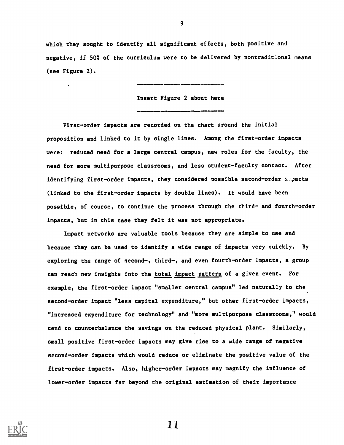which they sought to identify all significant effects, both positive and negative, if 50% of the curriculum were to be delivered by nontradit conal means

(see Figure 2). sInsert Figure 2 about here First-order impacts are recorded on the chart around the initial proposition and linked to it by single lines. Among the first-order impacts were: reduced need for a large central campus, new roles for the faculty, the need for more multipurpose classrooms, and less student-faculty contact. After identifying first-order impacts, they considered possible second-order  $\varepsilon$  apacts (linked to the first-order impacts by double lines). It would have been possible, of course, to continue the process through the third- and fourth-order impacts, but in this case they felt it was not appropriate.

Impact networks are valuable tools because they are simple to use and because they can be used to identify a wide range of impacts very quickly. By exploring the range of second-, third-, and even fourth-order impacts, a group can reach new insights into the total impact pattern of a given event. For example, the first-order impact "smaller central campus" led naturally to the second-order impact "less capital expenditure," but other first-order impacts, "Increased expenditure for technology" and "more multipurpose classrooms," would tend to counterbalance the savings on the reduced physical plant. Similarly, small positive first-order impacts may give rise to a wide range of negative second-order impacts which would reduce or eliminate the positive value of the first-order impacts. Also, higher-order impacts may magnify the influence of lower-order impacts far beyond the original estimation of their importance

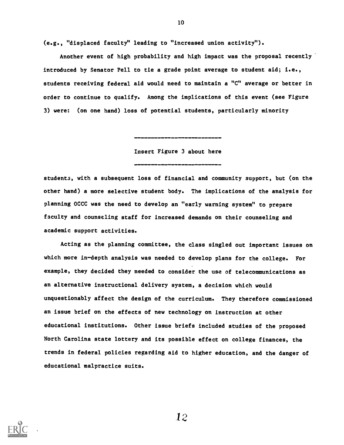(e.g., "displaced faculty" leading to "increased union activity").

Another event of high probability and high impact was the proposal recently introduced by Senator Pell to tie a grade point average to student aid; i.e., students receiving federal aid would need to maintain a "C" average or better in order to continue to qualify. Among the implications of this event (see Figure 3) were: (on one hand) loss of potential students, particularly minority

10

Insert Figure 3 about here

Mi=.01=IMMIIIIM11

studenta, with a subsequent loss of financial and community support, but (on the other hand) a more selective student body. The implications of the analysis for planning OCCC was the need to develop an "early warning system" to prepare faculty and counseling staff for increased demands on their counseling and academic support activities.

Acting as the planning committee, the class singled out important issues on which more in-depth analysis was needed to develop plans for the college. For example, they decided they needed to consider the use of telecommunications as an alternative instructional delivery system, a decision which would unquestionably affect the design of the curriculum. They therefore commissioned an issue brief on the effects of new technology on instruction at other educational institutions. Other issue briefs included studies of the proposed North Carolina state lottery and its possible effect on college finances, the trends in federal policies regarding aid to higher education, and the danger of educational malpractice suits.

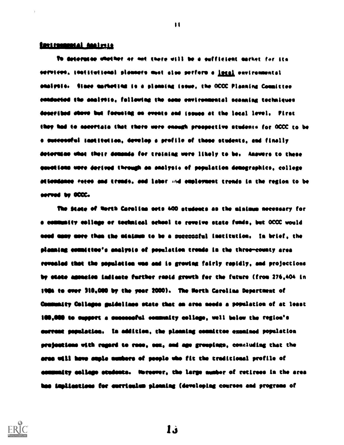#### **Earlformatal Analysis**

to levoresse totetopoo of 404 14040 0111 00 4 oettlotoot oorkot tot Ito servicon, inatitutional planners must also perform a <u>local</u> environmental shalyoto. Stoce marketing is a planning issue, the OCCC Planning Counities emmodeled the analyozo, following the same environmental scanning techniques described above but forwing on events and issues at the local level. Pirat they had to accertain that there were enough prospective students for OCCC to be s successful lastitution, develop a profile of those students, and finally determine what their demands for training were likely to be. Anowers to these eaostieso vete derived through as sealrele of pepulatlos denegrophice, college attendance futes and treads, and labor ifid employment trends in the region to be served by OCCC.

The State of North Carolina sets 400 otedeats as the sinimum necessary for essissaltv fellow or technical seheol to revolve state foods, bet OCCC would seed apay apro than the adelaun to be a <del>succes</del>sful lastitution, In brief, the planning counttion's analysis of population trends in the three-county area revealed that the population was and is graving fairly rapidly, and projections by state agencies indiante further repid growth for the future (from 276,404 in 1984 to ever 310,000 by the year 2000). The Horth Carolina Department of Community Collages guidelines state that an area needs a population of at least IMAM to support a oneesostel canossity college, well below the region's surrent population. In addition, the pleasing counittee examined population projections with regard to rase, sex, and age groupings, concluding that the ores will heve smple numbers of people who fit the traditional profile of assumently college students. Norgover, the large mumber of retirees in the area has implications for curriculum planning (developing courses and programs of



it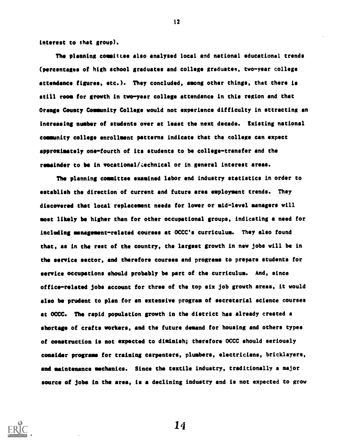interest to that group).

The planning committee also analysed local and national educational trends (percentages of high school graduates and college graduateg, two-year college attendance figures, etc.). They concluded, among other things, that there is still room for growth in two-year college attendance in this region and that Orange County Community College would not experience difficulty in sttracting an Increasing number of students over at least the next decade. Existing national community college enrollment patterns indicate that the college can expect approximately one-fourth of its students to be college-transfer and the remainder to be in vocational/cechnical or in general interest areas.

12

The planning committee examined labor end industry statistics in order to establish the direction of current and future area employment trends. They discovered that local replacement needs for lower or mid-level managers will most likely be higher than for other occupational groups, indicating a need for including management-related courses at OCCC's curriculum. They also found that, as in the rest of the country, the largest growth in new jobs will be in the service sector, and therefore courses and programs to prepare students for service occupations should probably be part of the curriculum. And, since office-related jobs account for three of the top six job growth areas, it would also be prudent to plan for an extensive program of secretarial science courses at OCCC. The rapid population growth in the district has already created a shortage of crafts workers, and the future demand for housing and others types of construction is not expected to diminish; therefore OCCC should seriously consider programs for training carpenters, plumbers, electricians, bricklayers, and maintenance mechanics. Since the textile industry, traditionally a major source of jobs in the area, is a declining industry and is not expected to grow

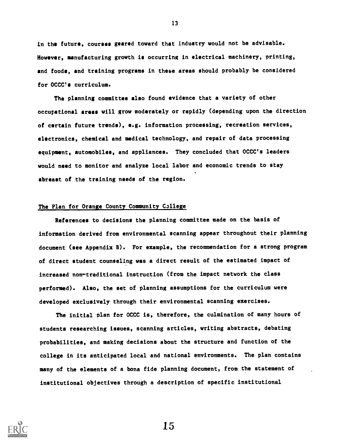in the future, courses geared toward that industry would not be advisable. However, manufacturing growth is occurring in electrical machinery, printing, and foods, and training programs in these areas should probably be considered for OCCC's curriculum.

The planning committee also found evidence that a variety of other occupational areas will grow moderately or rapidly (depending upon the direction of certain future trends), e.g. information processing, recreation services, electronics, chemical and medical technology, and repair of data processing equipment, automobiles, and appliances. They concluded that OCCC's leaders would need to monitor and analyze local labor and economic trends to stay abreast of the training needs of the region.

#### The Plan for Orange County Community College

References to decisions the planning committee made on the basis of information derived from environmental scanning appear throughout their planning document (see Appendix B). For example, the recommendation for a strong program of direct student counseling was a direct result of the estimated impact of increased non-traditional instruction (from the impact network the class performed). Also, the set of planning assumptions for the curriculum were developed exclusively through their environmental scanning exercises.

The initial plan for OCCC is, therefore, the culmination of many hours of students researching issues, scanning articles, writing abstracts, debating probabilities, and making decisions about the structure and function of the college in its anticipated local and national environments. The plan contains many of the elements of a bona fide planning document, from the statement of institutional objectives through a description of specific institutional



13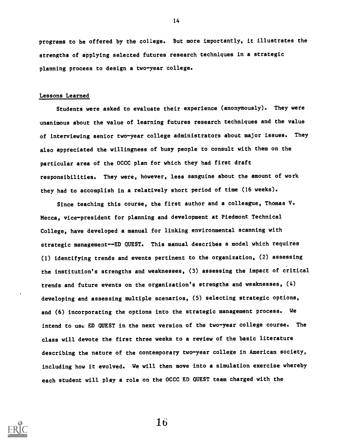programs to be offered by the college. But more importantly, it illustrates the strengths of applying selected futures research techniques in a strategic planning process to design a two-year college.

#### Lessons Learned

Students were asked to evaluate their experience (anonymously). They were unanimous about the value of learning futures research techniques and the value of interviewing senior two-year college administrators about major issues. They also appreciated the willingness of busy people to consult with them on the particular area of the OCCC plan for which they had first draft responsibilities. They were, however, less sanguine about the amount of work they had to accomplish in a relatively short period of time (16 weeks).

Since teaching this course, the first author and a colleague, Thomas V. Mecca, vice-president for planning and development at Piedmont Technical College, have developed a manual for linking environmental scanning with strategic management--ED QUEST. This manual describes a model which requires (1) identifying trends and events pertinent to the organization, (2) assessing the institution's strengths and weaknesses, (3) assessing the impact of critical trends and future events on the organization's strengths and weaknesses, (4) developing and assessing multiple scenarios, (5) selecting strategic options, and (6) incorporating the options into the strategic management process. We intend to use ED QUEST in the next version of the two-year college course. The class will devote the first three weeks to a review of the basic literature describing the nature of the contemporary two-year college in American society, including how it evolved. We will then move into a simulation exercise whereby each student will play a role on the OCCC ED QUEST team charged with the

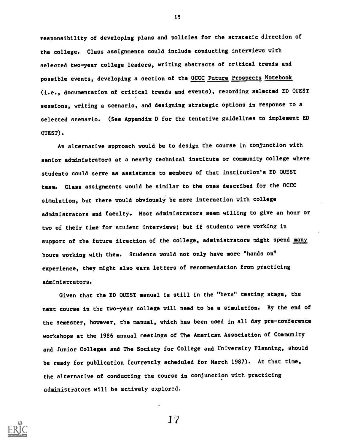responsibility of developing plans and policies for the stratetic direction of the college. Class assignments could include conducting interviews with selected two-year college leaders, writing abstracts of critical trends and possible events, developing a section of the OCCC Future Prospects Notebook (i.e., documentation of critical trends and events), recording selected ED QUEST sessions, writing a scenario, and designing strategic options in response to a selected scenario. (See Appendix D for the tentative guidelines to implement ED QUEST).

An alternative approach would be to design the course in conjunction with senior administrators at a nearby technical institute or community college where students could serve as assistants to members of that institution's ED QUEST team. Class assignments would be similar to the ones described for the OCCC simulation, but there would obviously be more interaction with college administrators and faculty. Most administrators seem willing to give an hour or two of their time for student interviews; but if students were working in support of the future direction of the college, administrators might spend many hours working with them. Students would not only have more "hands on" experience, they might also earn letters of recommendation from practicing administrators.

Given that the ED QUEST manual is still in the "beta" testing stage, the next course in the two-year college will need to be a simulation. By the end of the semester, however, the manual, which has been used in all day pre-conference workshops at the 1986 annual meetings of The American Association of Community and Junior Colleges and The Society for College and University Planning, should be ready for publication (currently scheduled for March 1987). At that time, the alternative of conducting the course in conjunction with practicing administrators will be actively explored.



15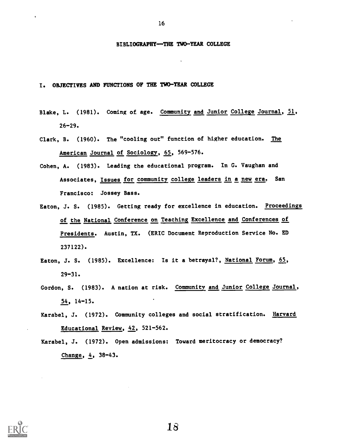### BIBLIOGRAPHY-THE TWO-YEAR COLLEGE

16

I. OBJECTIVES AND FUNCTIONS OF THE TWO-YEAR COLLEGE

- Blake, L. (1981). Coming of age. Community and Junior College Journal, 51,  $26 - 29.$
- Clark, B. (1960). The "cooling out" function of higher education. The American Journal of Sociology, 65, 569-576.
- Cohen, A. (1983). Leading the educational program. In G. Vaughan and Associates, Issues for community college leaders in a new era. San Francisco: Jossey Bass.
- Eaton, J. S. (1985). Getting ready for excellence in education. Proceedings of the National Conference on Teaching Excellence and Conferences of Presidents. Austin, TX. (ERIC Document Reproduction Service No. ED 237122).
- Eaton, J. S. (1985). Excellence: Is it a betrayal?, National Forum, 65, 29-31.
- Gordon, S. (1983). A nation at risk. Community and Junior College Journal,  $54, 14-15.$
- Karabel, J. (1972). Community colleges and social stratification. Harvard Educational Review, 42, 521-562.
- Karabel, J. (1972). Open admissions: Toward meritocracy or democracy? Change,  $4, 38-43.$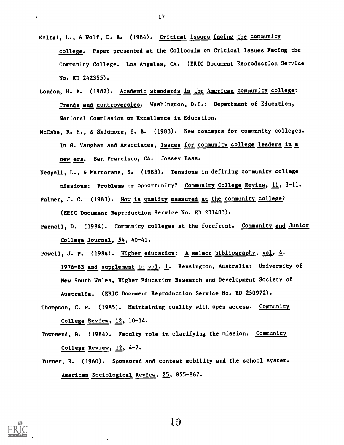- Koltai, L., & Wolf, D. B. (1984). Critical issues facing the community college. Paper presented at the Colloquim on Critical Issues Facing the Community College. Los Angeles, CA. (ERIC Document Reproduction Service No. ED 242355).
- London, H. B. (1982). Academic standards in the American community college: Trends and controversies. Washington, D.C.: Department of Education, National Comnission on Excellence in Education.
- McCabe, R. H., & Skidmore, S. B. (1983). New concepts for community colleges. In G. Vaughan and Associates, Issues for community college leaders in a new era. San Francisco, CA: Jossey Bass.
- Nespoli, L., & Martorana, S. (1983). Tensions in defining community college missions: Problems or opportunity? Community College Review, 11, 3-11.
- Palmer, J. C. (1983). How is quality measured at the community college? (ERIC Document Reproduction Service No. ED 231483).
- Parnell, D. (1984). Community colleges at the forefront. Community and Junior College Journal, 54, 40-41.
- Powell, J. P. (1984). Higher education: A select bibliography, vol. 4: 1976-83 and supplement to vol. 1. Kensington, Australia: University of New South Wales, Higher Education Research and Development Society of Australia. (ERIC Document Reproduction Service No. ED 250972).
- Thompson, C. P. (1985). Maintaining quality with open access. Community College Review, 12, 10-14.
- Townsend, B. (1984). Faculty role in clarifying the mission. Community College Review, 12, 4-7.
- Turner, R. (1960). Sponsored and contest mobility and the school system. American Sociological Review, 25, 855-867.



19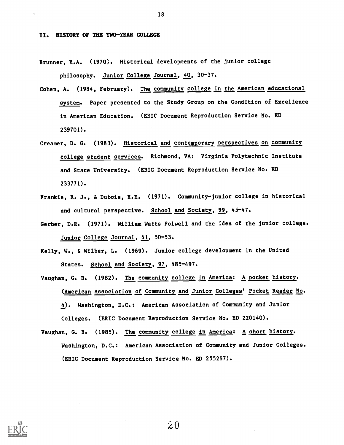II. HISTORY OF THE TWO-YEAR COLLEGE

Brunner, K.A. (1970). Historical developments of the junior college philosophy. Junior College Journal, 40, 30-37.

- Cohen, A. (1984, February). The community college in the American educational system. Paper presented to the Study Group on the Condition of Excellence in American Education. (ERIC Document Reproduction Service No. ED 239701).
- Creamer, D. G. (1983). Historical and contemporary perspectives on community college student services. Richmond, VA: Virginia Polytechnic Institute and State University. (ERIC Document Reproduction Service No. ED 233771).
- Frankie, R. J., & Dubois, E.E. (1971). Community-junior college in historical and cultural perspective. School and Society, 99, 45-47.
- Gerber, D.R. (1971). William Watts Folwell and the idea of the junior college. Junior College Journal, 41, 50-53.
- Kelly, W., & Wilber, L. (1969). Junior college development in the United States. School and Society, 97, 485-497.
- Vaughan, G. B. (1982). The community college in America: A pocket history. (American Association of Community and Junior Colleges' Pocket Reader No. 4). Washington, D.C.: American Association of Community and Junior Colleges. (ERIC Document Reproduction Service No. ED 220140).
- Vaughan, G. B. (1985). The community college in America: A short history. Washington, D.C.: American Association of Community and Junior Colleges. (ERIC Document Reproduction Service No. ED 255267).



18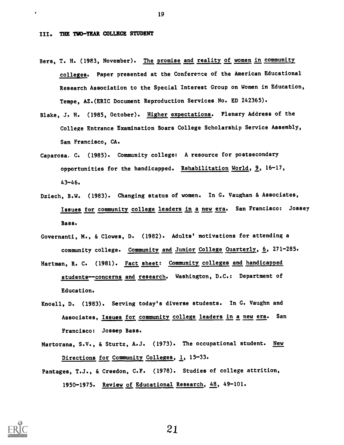#### III. THE TWO-YEAR COLLEGE STUDENT

- Bers, T. H. (1983, November). The promise and reality of women in community colleges. Paper presented at the Conference of the American Educational Research Association to the Special Interest Group on Women in Education, Tempe, AZ.(ERIC Document Reproduction Services No. ED 242365).
- Blake, J. H. (1985, October). Higher expectations. Plenary Address of the College Entrance Examination Boars College Scholarship Service Assembly, San Francisco, CA.
- Caparosa. C. (1985). Community college: A resource for postsecondary opportunities for the handicapped. Rehabilitation World, 9, 16-17, 43-46.
- Dziech, B.W. (1983). Changing status of women. In G. Vaughan & Associates, Issues for community college leaders in a new era. San Francisco: Jossey **Bass.**
- Governanti, M., & Clowes, D. (1982). Adults' motivations for attending a community college. Community and Junior College Quarterly, 6, 271-285.
- Hartman, R. C. (1981). Fact sheet: Community colleges and handicapped students--concerns and research. Washington, D.C.: Department of Education.
- Knoell, D. (1983). Serving today's diverse students. In G. Vaughn and Associates, Issues for community college leaders in a new era. San Francisco: Jossep Bass.
- Martorana, S.V., & Sturtz, A.J. (1973). The occupational student. New Directions for Community Colleges, 1, 15-33.
- Pantages, T.J., & Creedon, C.F. (1978). Studies of college attrition, 1950-1975. Review of Educational Research, 48, 49-101.



19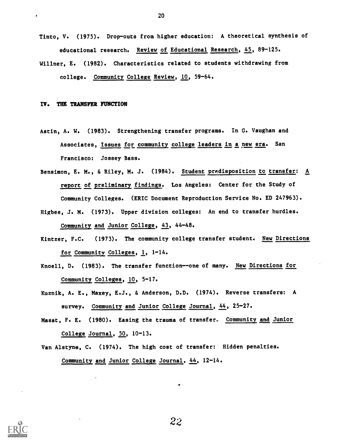- Tinto, V. (1975). Drop-outs from higher education: A theoretical synthesis of educational research. Review of Educational Research, 45, 89-125.
- Willner, E. (1982). Characteristics related to students withdrawing from college. Community College Review, 10, 59-64.

#### IV. THE TRANSFER FUNCTION

- Astin, A. W. (1983). Strengthening transfer programs. In G. Vaughan and Associates, Issues for community college leaders in a new era. San Francisco: Jossey Bass.
- Bensimon, E. M., & Riley, M. J. (1984). Student predisposition to transfer: A report of preliminary findings. Los Angeles: Center for the Study of Community Colleges. (ERIC Document Reproduction Service No. ED 247963). Higbee, J. M. (1973). Upper division colleges: An end to transfer hurdles.

Community and Junior College, 43, 44-48.

- Kintzer, F.C. (1973). The community college transfer student. New Directions for Community Colleges, 1, 1-14.
- Knoell, D. (1983). The transfer function--one of many. New Directions for Community Colleges, 10, 5-17.
- Kuznik, A. E., Maxey, E.J., & Anderson, D.D. (1974). Reverse transfers: A survey. Community and Junior College Journal, 44, 25-27.
- Masat, F. E. (1980). Easing the trauma of transfer. Community and Junior College Journal, 50, 10-13.
- Van Alstyne, C. (1974). The high cost of transfer: Hidden penalties. Community and Junior College Journal, 44, 12-14.



20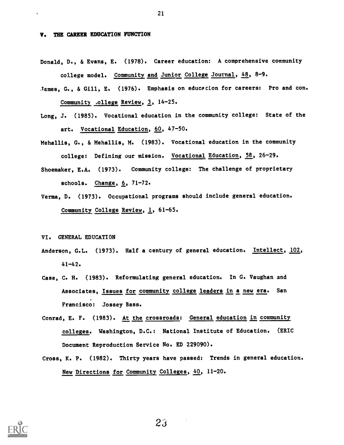#### V. THE CAREER EDUCATION FUNCTION

- Donald, D., & Evans, E. (1978). Career education: A comprehensive community college model. Community and Junior College Journal, 48, 8-9.
- James, G., & Gill, E. (1976). Emphasis on educecion for careers: Pro and con. Community ,ollege Review, 3, 14-25.
- Long, J. (1985). Vocational education in the community college: State of the art. Vocational Education, 60, 47-50.
- Mehallis, G., & Mehallis, M. (1983). Vocational education in the community college: Defining our mission. Vocational Education, 58, 26-29.
- Shoemaker, E.A. (1973). Community college: The challenge of proprietary schools. Change, 6, 71-72.
- Verma, D. (1973). Occupational programs should include general education. Community College Review, 1, 61-65.

VI. GENERAL EDUCATION

- Anderson, G.L. (1973). Half a century of general education. Intellect, 102, 41-42.
- Case, C. H. (1983). Reformulating general education. In G. Vaughan and Associates, Issues for community college leaders in a new era. San Francisco: Jossey Bass.
- Conrad, E. F. (1983). At the crossroads: General education in community colleges. Washington, D.C.: National Institute of Education. (ERIC Document Reproduction Service No. ED 229090).
- Cross, K. P. (1982). Thirty years have passed: Trends in general education. New Directions for Community Colleges, 40, 11-20.



 $23$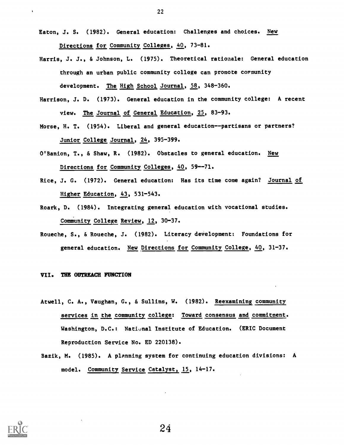- Eaton, J. S. (1982). General education: Challenges and choices. New Directions for Community Colleges, 40, 73-81.
- Harris, J. J., & Johnson, L. (1975). Theoretical rationale: General education through an urban public community college can promote cormunity development. The High School Journal, 58, 348-360.
- Harrison, J. D. (1973). General education in the community college: A recent view. The Journal of General Education, 25, 83-93.
- Morse, H. T. (1954). Liberal and general education--partisans or partners? Junior College Journal, 24, 395-399.
- O'Banion, T., & Shaw, R. (1982). Obstacles to general education. New Directions for Community Colleges, 40, 59--71.
- Rice, J. G. (1972). General education: Has its time come again? Journal of Higher Education, 43, 531-543.
- Roark, D. (1984). Integrating general education with vocational studies. Community College Review, 12, 30-37.
- Roueche, S., & Roueche, J. (1982). Literacy development: Foundations for general education. New Directions for Community College, 40, 31-37.

#### VII. THE OUTREACH FUNCTION

- Atwell, C. A., Vaughan, G., & Sullins, W. (1982). Reexamining community services in the community college: Toward consensus and commitment. Washington, D.C.: National Institute of Education. (ERIC Document Reproduction Service No. ED 220138).
- Bazik, M. (1985). A planning system for continuing education divisions: A model. Community Service Catalyst, 15, 14-17.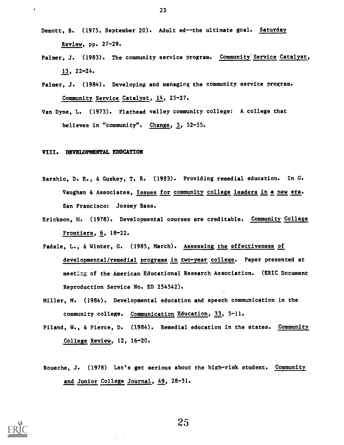- Demott, B. (1975, September 20). Adult ed--the ultimate goal. Saturday Review, pp. 27-29.
- Palmer, J. (1983). The community service program. Community Service Catalyst, 13, 22-24.
- Palmer, J. (1984). Developing and managirg the community service program. Community Service Catalyst, 14, 25-27.
- Van Dyne, L. (1973). Flathead valley community college: A college that believes in "community". Change, 5, 52-55.

#### VIII. DEVELOPMENTAL EDUCATION

 $\bullet$ 

- Barshio, D. E., & Guskey, T. R. (1983). Providing remedial education. In G. Vaughan & Associates, Issues for community college leaders in a new era. San Francisco: Jossey Bass.
- Erickson, M. (1978). Developmental courses are creditable. Community College Frontiers, 6, 18-22.
- Fadale, L., & Winter, G. (1985, March). Assessing the effectiveness of developmental/remedial programs in two-year college. Paper presented at meetIng of the American Educational Research Association. (ERIC Document Reproduction Service No. ED 254542).
- Miller, M. (1984). Developmental education and speech communication in the community college. Communication Education, 33, 5-11.
- Piland, W., & Pierce, D. (1984). Remedial education in the states. Community College Review, 12, 16-20.
- Roueche, J. (1978) Let's get serious about the high-risk student. Community and Junior College Journal, 49, 28-31.



25

 $\sim 10^{11}$  km  $^{-1}$ 

 $\sim$   $\sim$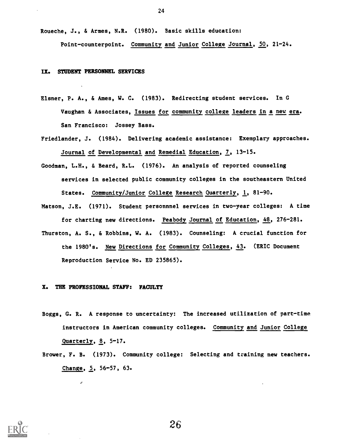Roueche, J., & Armes, N.R. (1980). Basic skills education:

Point-counterpoint. Community and Junior College Journal, 50, 21-24.

#### IX. STUDENT PERSONNEL SERVICES

- Elsner, P. A., & Ames, W. C. (1983). Redirecting student services. In G Vaughan & Associates, Issues for community college leaders in a new era. San Francisco: Jossey Bass.
- Friedlander, J. (1984). Delivering academic assistance: Exemplary approaches. Journal of Developmental and Remedial Education, 7, 13-15.
- Goodman, L.H., & Beard, R.L. (1976). An analysis of reported counseling services in selected public community colleges in the southeastern United States. Community/Junior College Research Quarterly, 1, 81-90.
- Matson, J.E. (1971). Student personnnel services in two-year colleges: A time for charting new directions. Peabody Journal of Education, 48, 276-281.
- Thurston, A. S., & Robbins, W. A. (1983). Counseling: A crucial function for the 1980's. New Directions for Community Colleges, 43. (ERIC Document Reproduction Service No. ED 235865).

### X. THB PROFESSIONAL STAFF: FACULTY

J.

- Boggs, G. R. A response to uncertainty: The increased utilization of part-time instructors in American community colleges. Community and Junior College Quarterly, 8, 5-17.
- Brower, F. B. (1973). Community college: Selecting and training new teachers. Change, 5, 56-57, 63.

26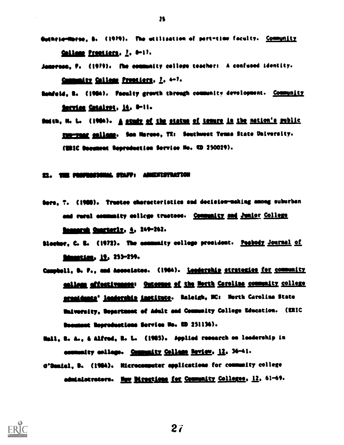- Guthela-Morse, B. (1979). The utilization of port-time faculty. Community Collage Presiders. 2. 0-17.
- Jemprace, P. (1979). The community college teachers A confused identity. Community College Prontiers, 2, 4-7.
- Donfold, R. (1984). Paculty growth through community development. Community Service Catalvot, 14, 0-11.
- Suden, N. L. (1984). A study of the status of tenure in the nation's public Eup-raag colleng. Son Marcos, TX: Southwest Tonne State University. (URIC Document Reproduction Service No. KD 250029).

### 11. THE PROFOSICIMA STAFF: ANNIHISTRATION

- Dere, T. (1980). Trustee characteristics and decision-making among suburban and rural essmanity collage trustees. Community and Junior College <u>imenanti Cuerterly, A</u>, 249-262.
- Slocker, C. E. (1972). The community college president. Postody Journal of Numetian, 19, 253-259.
- Compbell, D. P., and Associates. (1984). <u>Leadership strateries for community</u> malions affectiveness: Outcouse of the Horth Coroline community college sconidents' leadership institute. Raleigh, NC: North Carolina State University, Department of Adult and Community College Education. (ERIC Decument Reproductions Service No. 2D 251136).
- Nell, S. A., 6 Alfred, I. L. (1145). Applied reeeereb oe leadership in semmenty enlinge. Community Collage Review, 12, 36-41.
- G'Danisl, B. (1984). Nicrocomputer applications for community college edministrators. Hew Mrections for Community Colleges, 12, 61-69.



IS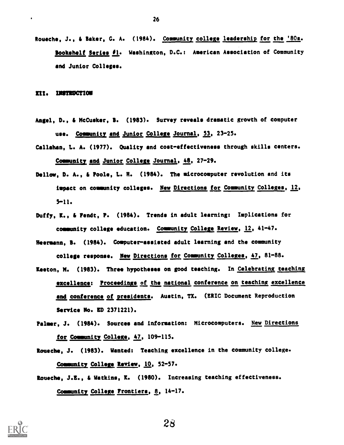Roueche, J., & Baker, G. A. (1984). Community college leadership for the '80s. Bookshelf Series 01. Washington, D.C.: American Association of Community and Junior Colleges.

#### III. INSTRUCTION

 $\bullet$ 

- Angel, D., & McCusker, B. (1983). Survey reveals dramatic growth of computer use. Community and Junior College Journal, 53, 23-25.
- Callahan, L. A. (1977). Quality and cost-effectiveness through skills centers. Community and Junior College Journal, 48, 27-29.
- Dellow, D. A., & Poole, L. N. (1984). The microcomputer revolution and its impact on community colleges. New Directions for Community Colleges, 12, 5-11.
- Duffy, K., & Fendt, P. (1984). Trends in adult learning: Implications for community college education. Community College Review, 12, 41-47.
- Neermann, B. (1984). Computer-assisted adult learning and the community college response. New Directions for Community Colleges, 47, 81-88.
- Keeton, M. (1983). Three hypotheses on good teaching. In Celebrating teaching excellence: Proceedings of the national conference on teaching excellence and conference of presidents. Austin, TX. (ERIC Document Reproduction Service No. ED 2371221).
- Palmer, J. (1984). Sources and information: Microcomputers. New Directions for Community College, 47, 109-115.
- Roueche, J. (1983). Wanted: Teaching excellence in the community college. Community College Review, 10, 52-57.
- Roueche, J.E., & Watkins, K. (1980). Increasing teaching effectiveness. Community College Frontiers, 8, 14-17.



26

 $2\delta$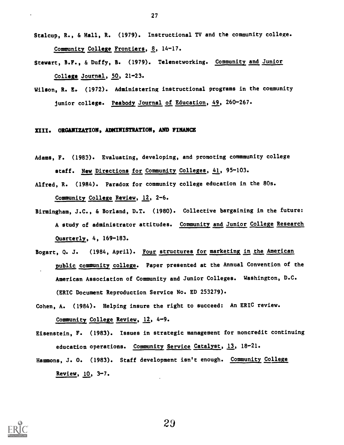- Stalcup, R., & Hall, R. (1979). Instructional TV and the community college. Community College Frontiers, 8, 14-17.
- Stewart, B.F., & Duffy, B. (1979). Telenetworking. Community and Junior College Journal, 50, 21-23.
- Wilson, R. E. (1972). Administering instructional programs in the community junior college. Peabody Journal of Education, 49, 260-267.

#### XIII. ORGANIZATION, ADMINISTRATION, AND FINANCE

- Adams, F. (1983). Evaluating, developing, and promoting commmunity college staff. New Directions for Community Colleges, 41, 95-103.
- Alfred, R. (1984). Paradox for community college education in the 80s. Community College Review, 12, 2-6.
- Birmingham, J.C., & Borland, D.T. (1980). Collective bargaining in the future: A study of administrator attitudes. Community and Junior College Research Quarterly, 4, 169-183.
- Bogart, Q. J. (1984, April). Four structures for marketing in the American public community college. Paper presented at the Annual Convention of the American Association of Community and Junior Colleges. Washington, D.C. (ERIC Document Reproduction Service No. ED 253279).
- Cohen, A. (1984). Helping insure the right to succeed: An ERIC review. Community College Review, 12, 4-9.
- Eisenstein, F. (1983). Issues in strategic management for noncredit continuing education operations. Community Service Catalyst, 13, 18-21.
- Hammons, J. O. (1983). Staff development isn't enough. Community College Review, 10, 3-7.



27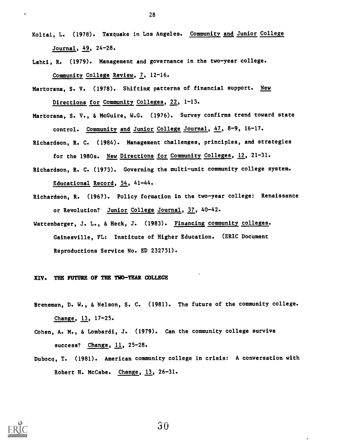- Koltai, L. (1978). Taxquake in Los Angeles. Community and Junior College Journal, 49, 24-28.
- Lahti, R. (1979). Management and governance in the two-year college. Community College Review, 7, 12-16.
- Martorana, S. V. (1978). Shifting patterns of financial support. New Directions for Community Colleges, 22, 1-13.
- Martorana, S. V., & McGuire, W.G. (1976). Survey confirms trend toward state control. Community and Junior College Journal, 47, 8-9, 16-17.
- Richardson, R. C. (1984). Management challenges, principles, and strategies for the 1980s. New Directions for Community Colleges, 12, 21-31.
- Richardson, R. C. (1973). Governing the multi-unit community college system. Educational Record, 54, 41-44.
- Richardson, R. (1967). Policy formation in the two-year college: Renaissance or Revolution? Junior College Journal, 37, 40-42.
- Wattenbarger, J. L., & Heck, J. (1983). Financing community colleges. Gainesville, FL: Institute of Higher Education. (ERIC Document Reproductions Service No. ED 232751).

#### XIV. THE FUTURE OF THE TWO-YEAR COLLEGE

- Breneman, D. W., & Nelson, S. C. (1981). The future of the community college. Change, 13, 17-25.
- Cohen, A. M., & Lombardi, J. (1979). Can the community college survive success? Change, 11, 25-28.
- Dubocq, T. (1981). American community college in crisis: A conversation with Robert H. McCabe. Change, 13, 26-31.

28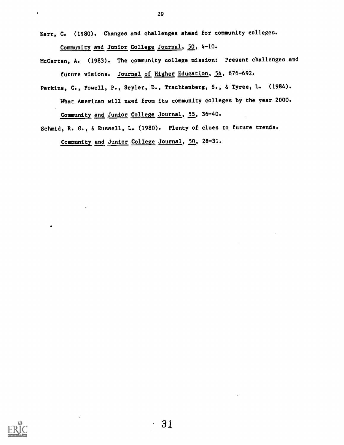Kerr, C. (1980). Changes and challenges ahead for community colleges. Community and Junior College Journal, 50, 4-10.

McCarten, A. (1983). The community college mission: Present challenges and future visions. Journal of Higher Education, 54, 676-692.

Perkins, C., Powell, P., Seyler, D., Trachtenberg, S., & Tyree, L. (1984). What American will need from its community colleges by the year 2000.

Community and Junior College Journal, 55, 36-40.

Schmid, R. G., & Russell, L. (1980). Plenty of clues to future trends.

Community and Junior College Journal, 50, 28-31.

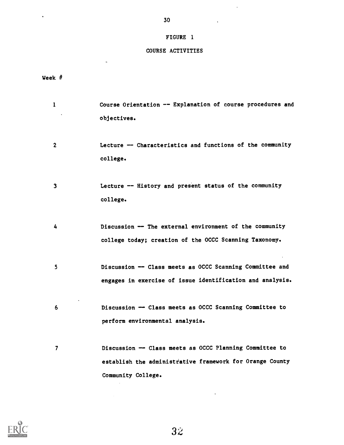## FIGURE 1

 $\mathcal{L}^{\text{max}}$ 

 $\mathcal{L}(\mathcal{A})$  and  $\mathcal{L}(\mathcal{A})$ 

## COURSE ACTIVITIES

Week #

 $\Box$ 

 $\langle \cdot \rangle$ 

| $\mathbf{1}$ | Course Orientation -- Explanation of course procedures and |
|--------------|------------------------------------------------------------|
|              | objectives.                                                |
|              |                                                            |
| $\mathbf 2$  | Lecture -- Characteristics and functions of the community  |
|              | college.                                                   |
|              |                                                            |
| 3            | Lecture -- History and present status of the community     |
|              | college.                                                   |
|              |                                                            |
| 4            | Discussion -- The external environment of the community    |
|              | college today; creation of the OCCC Scanning Taxonomy.     |
|              |                                                            |
| 5            | Discussion -- Class meets as OCCC Scanning Committee and   |
|              | engages in exercise of issue identification and analysis.  |
|              |                                                            |
| 6            | Discussion -- Class meets as OCCC Scanning Committee to    |
|              | perform environmental analysis.                            |
|              |                                                            |
|              |                                                            |
| 7            | Discussion - Class meets as OCCC Planning Committee to     |
|              | establish the administrative framework for Orange County   |
|              | Community College.                                         |

 $3\ddot{z}$ 

 $\sim$   $\sim$ 

 $\sim 10^{11}$  km  $^{-1}$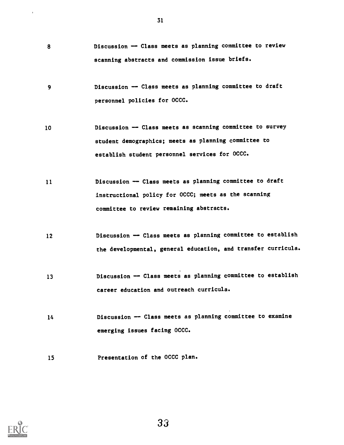- 8 Discussion -- Class meets as planning committee to review scanning abstracts and commission issue briefs.
- <sup>9</sup> Discussion -- Class meets as planning committee to draft personnel policies for OCCC.
- 10 Discussion -- Class meets as scanning committee to survey student demographics; meets as planning committee to establish student personnel services for OCCC.
- 11 Discussion -- Class meets as planning committee to draft instructional policy for OCCC; meets as the scanning committee to review remaining abstracts.
- 12 Discussion -- Class meets as planning committee to establish the developmental, general education, and transfer curricula.
- 13 Discussion -- Class meets as planning committee to establish career education and outreach curricula.
- 14 Discussion -- Class meets as planning committee to examine emerging issues facing OCCC.
- 15 Presentation of the OCCC plan.

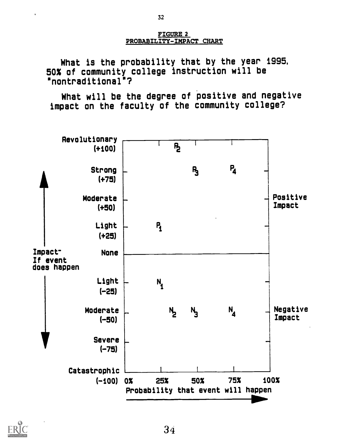FIGURE 2 PROBABILITY-IMPACT CHART

What is the probability that by the year 1995, 50% of community college instruction will be "nontraditional"?

What will be the degree of positive and negative impact on the faculty of the community college?



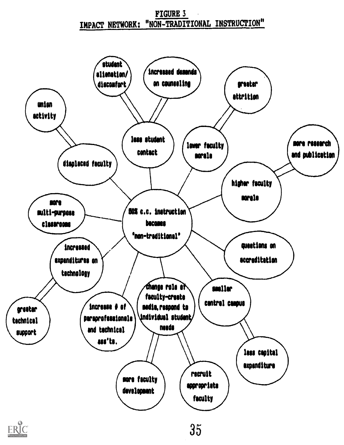# FIGURE 3 IMPACT NETWORK: "NON-TRADITIONAL INSTRUCTION"

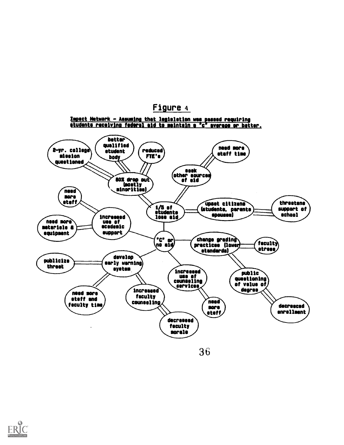# Figure <sup>4</sup>

Impact Network - Assuming that legisletion was pissed requiring

#### tudents receiving federal id to maintain a 'c' @serene er better. better qualified )<br>etudent ) (reduced need nore 2-yr. college\ student / (reduced<br>hody / FTE's staff time fission bod oy<br>803 drop out questioned seek other sources of aid  $\angle$ (mostly minorities) need more staff threstens upset citizens (students, parents support of 1/5 of students spouses) school increesed lose aid need more  $\equiv$   $\left( \begin{array}{c} \text{use of} \\ \text{ecedente} \end{array} \right)$ materiels 8 support equipment ("C" or)<br>מט eid) change gradin feculty practices (lower) stress standards) develop publicize early warning) threst system. Increased public use of questioning counseling of value of services Increased degree need more faculty staff end counseling need faculty time decresced more  $\sqrt{\frac{1}{\sqrt{1-\frac{1}{2}}}}$ enrollmentdecreased faculty morals

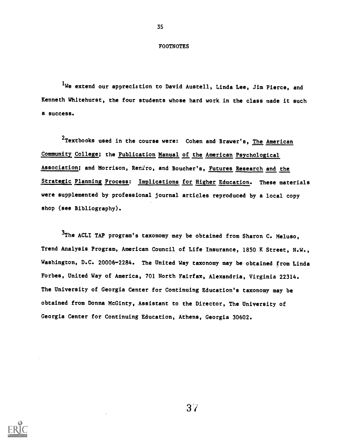#### FOOTNOTES

35

<sup>1</sup>We extend our appreciation to David Austell, Linda Lee, Jim Pierce, and Kenneth Whitehurst, the four students whose hard work in the class made it such a success.

 $2$ Textbooks used in the course were: Cohen and Brawer's, The American Community College; the Publication Manual of the American Psychological Association; and Morrison, Reniro, and Boucher's, Futures Research and the Strategic Planning Process: Implications for Higher Education. These materials were supplemented by professional journal articles reproduced by a local copy shop (see Bibliography).

<sup>3</sup>The ACLI TAP program's taxonomy may be obtained from Sharon C. Meluso, Trend Analysis Program, American Council of Life Insurance, 1850 K Street, N.W., Washington, D.C. 20006-2284. The United Way taxonomy may be obtained from Linda Forbes, United Way of America, 701 North Fairfax, Alexandria, Virginia 22314. The University of Georgia Center for Continuing Education's taxonomy may be obtained from Donna McGinty, Assistant to the Director, The University of Georgia Center for Continuing Education, Athens, Georgia 30602.

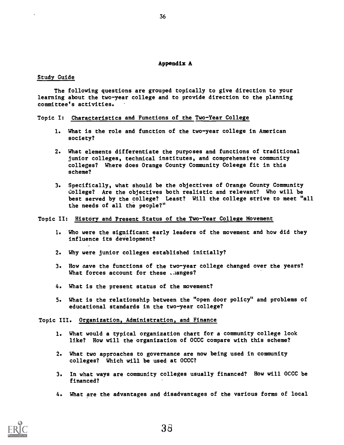#### Appendix A

#### Study Guide

The following questions are grouped topically to give direction to your learning about the two-year college and to provide direction to the planning committee's activities.

#### Topic I: Characteristics and Functions of the Two-Year College

- 1. What is the role and function of the two-year college in American society?
- 2. What elements differentiate the purposes and functions of traditional junior colleges, technical institutes, and comprehensive community colleges? Where does Orange County Community Coleege fit in this scheme?
- 3. Specifically, what should be the objectives of Orange County Community College? Are the objectives both realistic and relevant? Who will be best served by the college? Least? Will the college strive to meet "all the needs of all the people?"

#### Topic II: History and Present Status of the Two-Year College Movement

- 1. Who were the significant early leaders of the movement and how did they influence its deVelopment?
- 2. Why were junior colleges established initially?
- 3. How nave the functions of the two-year college changed over the years? What forces account for these .aanges?
- 4. What is the present status of the movement?
- 5. What is the relationship between the "open door policy" and problems of educational standards in the two-year college?

#### Topic III. Organization, Administration, and Finance

- 1. What would a typical organization chart for a community college look like? How will the organization of OCCC compare with this scheme?
- 2. What two approaches to governance are now being used in community colleges? Which will be used at OCCC?
- 3. In what ways are community colleges usually financed? How will OCCC be financed?
- 4. What are the advantages and disadvantages of the various forms of local

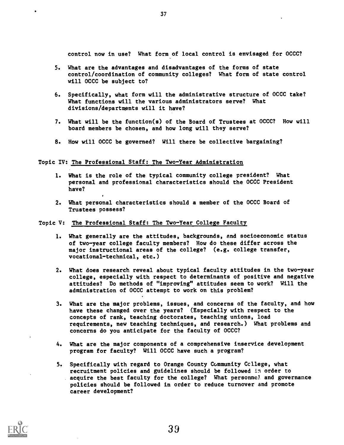control now in use? What form of local control is envisaged for OCCC?

- 5. What are the advantages and disadvantages of the forms of state control/coordination of community colleges? What form of state control will OCCC be subject to?
- 6. Specifically, what form will the administrative structure of OCCC take? What functions will the various administrators serve? What divisions/departments will it have?
- 7. What will be the function(s) of the Board of Trustees at OCCC? How will board members be chosen, and how long will they serve?
- 8. How will OCCC be governed? Will there be collective bargaining?

#### Topic IV: The Professional Staff: The Two-Year Administration

- 1. What is the role of the typical community college president? What personal and professional characteristics should the OCCC President have?
- 2. What personal characteristics should a member of the OCCC Board of Trustees possess?

#### Topic V: The Professional Staff: The Two-Year College Faculty

- 1. What generally are the attitudes, backgrounds, and socioeconomic status of two-year college faculty members? How do these differ across the major instructional areas of the college? (e.g. college transfer, vocational-technical, etc.)
- 2. What does research reveal about typical faculty attitudes in the two-year college, especially with respect to determinants of positive and negative attitudes? Do methods of "improving" attitudes seem to work? Will the administration of OCCC attempt to work on this problem?
- 3. What are the major problems, issues, and concerns of the faculty, and how have these changed over the years? (Especially with respect to the concepts of rank, teaching doctorates, teaching unions, load requirements, new teaching techniques, and research.) What problems and concerns do you anticipate for the faculty of OCCC?
- 4. What are the major components of a comprehensive inservice development program for faculty? Will OCCC have such a program?
- 5. Specifically with regard to Orange County Community Ccllege, what recruitment policies and guidelines should be followed in order to acquire the best faculty for the college? What personnel and governance policies should be followed in order to reduce turnover and promote career development?

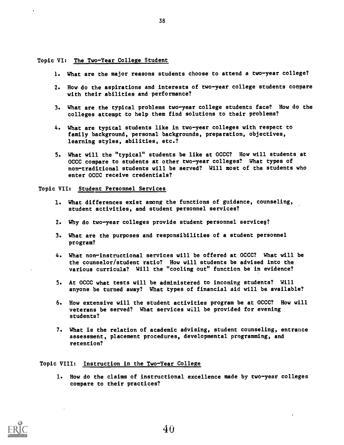Topic VI: The Two-Year College Student

- 1. What are the major reasons students choose to attend a two-year college?
- 2. How do the aspirations and interests of two-year college students compare with their abilities and performance?
- 3. What are the typical problems two-year college students face? How do the colleges attempt to help them find solutions to their problems?
- 4. What are typical students like in two-year colleges with respect to family background, personal backgrounds, preparation, objectives, learning styles, abilities, etc.?
- 5. What will the "typical" students be like at OCCC? How will students at OCCC compare to students at other two-year colleges? What types of non-traditional students will be served? Will most of the students who enter OCCC receive credentials?

Topic VII: Student Personnel Services

- 1. What differences exist among the functions of guidance, counseling, student activities, and student personnel services?
- 2. Why do two-year colleges provide student personnel services?
- 3. What are the purposes and responsibilities of a student personnel program?
- 4. What non-instructional services will be offered at OCCC? What will be the counselor/student ratio? How will students be advised into the various curricula? Will the "cooling out" function be in evidence?
- 5. At OCCC what tests will be administered to incoming students? Will anyone be turned away? What types of financial aid will be available?
- 6. How extensive will the student activities program be at OCCC? How will veterans be served? What services will be provided for evening students?
- 7. What is the relation of academic advising, student counseling, entrance assessment, placement procedures, developmental programming, and retention?

#### Topic VIII: Instruction in the Two-Year College

1. How do the claims of instructional excellence made by two-year colleges compare to their practices?



38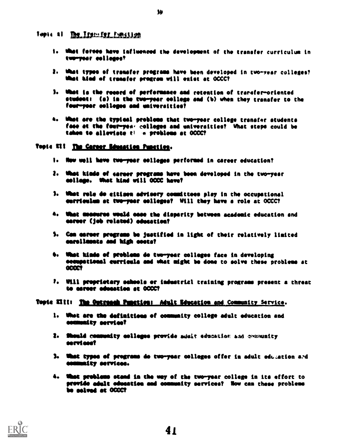fopit 41 The Iran-for function

- I. What forces have influenced the devolopment of the transfer curriculum in terpoor colleges,
- 2. What types of transfer programs have been developed in tvo-year colleges? What hind of transfer program will exist at OCCC?
- I. What is the record of performance and retention of trarefer-oriented student: (a) in the two-year college and (b) when they transfer to the four-year colleges and universities?
- a. Whet see the typical problems thst tve-year college transfer students face at the four-yes, colleges and universities? What steps could be taken to alleviate ti « problems at 0000?

#### Topic XII The Career Education Punction.

- I. Now well hove two-yeer colleges performed in career education?
- 1. Mist kinds of siren programs have bees developed in the two-year soilage. Met kind will aCCC hove?
- 3. What role do eitisem advisery committees play in the occupational eurriculum at two-year colleges? Will they have a role at OCCC?
- 4. What measures weeld ease the disparity between academic education and sareor (job related) odnestica?
- S. Cos esesor programs be justified in light of their relatively limited semellessee aed high soots?
- **b. What kinds of problems de two-year colleges face in developing** oesampatiomal eerrisela sod what might be dose to solve these problems at **GCCCT**
- 7. Will proprietary schools or industrial training programs present a threat to eareer education at OCCC?

#### Topie XIII: The Outreach Punction: Adult Education and Community Service.

- 1. What are the definitions of community college adult education and esememity servioef
- 1. Should community colleges provide minit education and examinity correlation
- 1. What types of programs do two-year colleges offer in adult education and ommemity serviees.
- 4. What problems stead in the way of the two-year college in its effort to provide adult education and community services? Now can these problems be solved et OCCC?

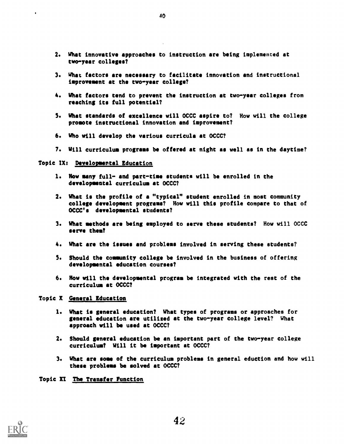- 2. What innovative approaches to instruction are being implemented at two-year colleges?
- 3. What factors are necessary to facilitate innovation and instructional improvement at the two-year college?
- 4. What factors tend to prevent the instruction at two-year colleges from reaching its full potential?
- 5. What standards of excellence will OCCC aspire to? How will the college promote instructional innovation and improvement?
- 6. Who will develop the various curricula at OCCC?
- 7. Will curriculum programs be offered at night as well as in the daytime?

### Topic IX: Developmental Education

- 1. How many full- and part-time students will be enrolled in the developmental curriculum at OCCC?
- 2. What is the profile of a "typical" student enrolled in most community college development programs? How will this profile compare to that of OCCC's developmental students?
- 3. What methods are being employed to serve these students? How will OCCC serve them?
- 4. What are the issues and problems involved in serving these students?
- 5. Should the community college be involved in the business of offering developmental education courses?
- 6. Row will the developmental program be integrated with the rest of the curriculum at OCCC?

#### Topic X General Education

- 1. What is general education? What types of programs or approaches for general education are utilized at the two-year college level? What approach will be used at OCCC?
- 2. Should general education be an important part of the two-year college curriculum? Will it be important at OCCC?
- 3. What are some of the curriculum problems in general eduction and how will these problems be solved at OCCC?

Topic XI The Transfer Function

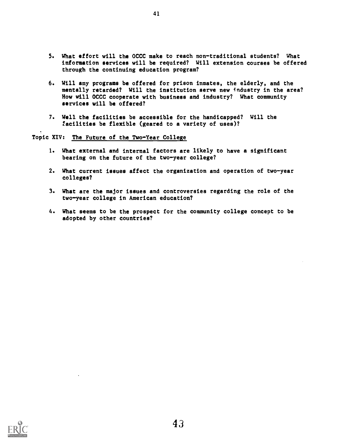- 5. What effort will the OCCC make to reach non-traditional students? What information services will be required? Will extension courses be offered through the continuing education program?
- 6. Will any programs be offered for prison inmates, the elderly, and the mentally retarded? Will the institution serve new industry in the area? How will OCCC cooperate with business and industry? What community services will be offered?
- 7. Well the facilities be accessible for the handicapped? Will the facilities be flexible (geared to a variety of uses)?

41

# Topic XIV: The Future of the Two-Year College

- 1. What external and internal factors are likely to have a significant bearing on the future of the two-year college?
- 2. What current issues affect the organization and operation of two-year colleges?
- 3. What are the major issues and controversies regarding the role of the two-year college in American education?
- 4. What seems to be the prospect for the community college concept to be adopted by other countries?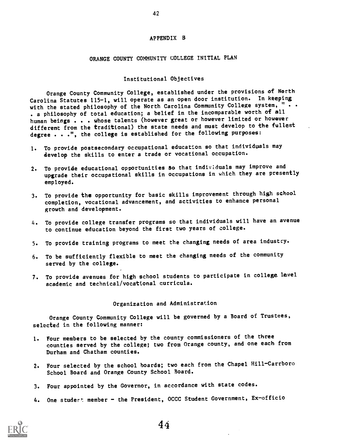#### APPENDIX B

#### ORANGE COUNTY COMMUNITY COLLEGE INITIAL PLAN

#### Institutional Objectives

Orange County Community College, established under the provisions of North Carolina Statutes 115-1, will operate as an open door institution. In keeping with the stated philosophy of the North Carolina Community College system, " . . . a philosophy of total education; a belief in the incomparable worth of all human beings . . . whose talents (however great or however limited or however different from the traditional) the state needs and must develop to the fullest degree . . .", the college is established for the following purposes:

- 1. To provide postsecondary occupational education so that individuals may develop the skills to enter a trade or vocational occupation.
- 2. To provide educational opportunities so that individuals may improve and upgrade their occupational skills in occupations in which they are presently employed.
- 3. To provide the opportunity for basic skills improvement through high school completion, vocational advancement, and activities to enhance personal growth and development.
- 4. To provide college transfer programs so that individuals will have an avenue to continue education beyond the first two years of college.
- 5. To provide training programs to meet the changing needs of area industry.
- 6. To be sufficiently flexible to meet the changing needs of the community served by the college.
- 7. To provide avenues for high school students to participate in college Level academic and technical/vocational curricula.

#### Organization and Administration

Orange County Community College will be governed by a Board of Trustees, selected in the following manner:

- 1. Four members to be selected by the county commissioners of the three counties served by the college; two from Orange county, and one each from Durham and Chatham counties.
- 2. Four selected by the school boards; two each from the Chapel Hill-Carrboro School Board and Orange County School Board.
- 3. Four appointed by the Governor, in accordance with state codes.
- 4. One studert member the President, OCCC Student Government, Ex-officio



42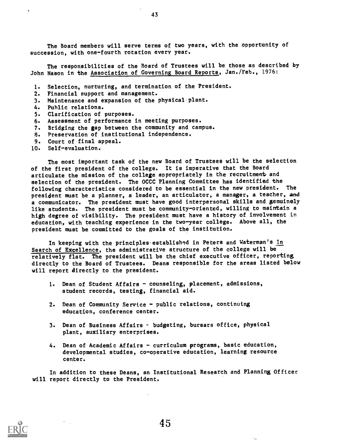The Board members will serve terms of two years, with the opportunity of succession, with one-fourth rotation every year.

43

The responsibilities of the Board of Trustees will be those as described by John Nason in the Association of Governing Board Reports, Jan./Feb., 1976:

- 1. Selection, nurturing, and termination of the President.
- 2. Financial support and management.
- 3. Maintenance and expansion of the physical.plant.
- 4. Public relations.
- 5. Clarification of purposes.
- 6. Assessment of performance in meeting purposes.
- 7. Bridging the gap between the community and campus.
- 8. Preservation of institutional independence.
- 9. Court of final appeal.
- 10. Self-evaluation.

The most important task of the new Board of Trustees will be the selection of the first president of the college. It is imperative that the Board articulate the mission of the college appropriately in the recruitment and selection of the president. The OCCC Planning Committee has identified the following characteristics considered to be essential in the new president. The president must be a planner, a leader, an articulator, a manager, a teacher, and a communicator. The president must have good interpersonal skills and genuinely like students. The president must be community-oriented, willing to maintain a high degree of visibility. The president must have a history of involvement in education, with teaching experience in the two-year college. Above all, the president must be committed to the goals of the institution.

In keeping with the principles established in Peters and Waterman's In Search of Excellence, the administrative structure of the college will be relatively flat. The president will be the chief executive officer, reporting directly to the Board of Trustees. Deans responsible for the areas listed below will report directly to the president.

- 1. Dean of Student Affairs counseling, placement, admissions, student records, testing, financial aid.
- 2. Dean of Community Service public relations, continuing education, conference center.
- 3. Dean of Business Affairs budgeting, bursars office, physical plant, auxiliary enterprises.
- 4. Dean of Academic Affairs curriculum programs, basic education, developmental studies, co-operative education, learning resource center.

In addition to these Deans, an Institutional Research and Planning Officer will report directly to the President.

 $\ddot{\phantom{a}}$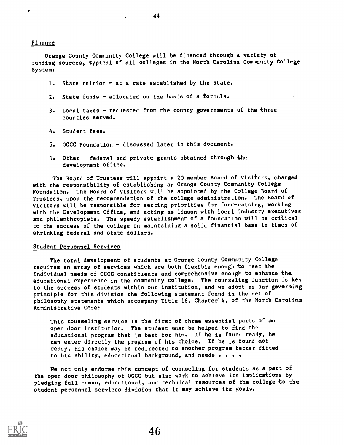44

#### Finance

Orange County Community College will be financed through a variety of funding sources, typical of all colleges in the North Carolina Community College System:

- 1. State tuition at a rate established by the state.
- 2. State funds allocated on the basis of a formula.
- 3. Local taxes requested from the county governments of the three counties served.
- 4. Student fees.
- 5. OCCC Foundation discussed later in this document.
- 6. Other federal and private grants obtained through the development office.

The Board of Trustees will appoint a 20 member Board of Visitors, charged with the responsibility of establishing an Orange County Community College Foundation. The Board of Visitors will be appointed by the College Board of Trustees, upon the recommendation of the college administration. The Board of Visitors will be responsible for setting priorities for fund-raising, working with the Development Office, and acting as liason with local industry executives and philanthropists. The speedy establishment of a foundation will be critical to the success of the college in maintaining a solid financial base in times of shrinking federal and state dollars.

#### Student Personnel Services

The total development of students at Orange County Community College requires an array of services which are both flexible enough to meet the individual needs of OCCC constituents and comprehensive enough to enhance the educational experience in the community college. The counseling function is key to the success of students within our institution, and we adopt as our governing principle for this division the following statement found in the set of philosophy statements which accompany Title 16, Chapter 4, of the North Carolina Administrative Code:

This counseling service is the first of three essential parts of an open door institution. The student must be helped to find the educational program that is best for him. If he is found ready, he can enter directly the program of his choice. If he is found not ready, his choice may be redirected to another program better fitted to his ability, educational background, and needs . . . .

We not only endorse this concept of counseling for students as a part of the open door philosophy of OCCC but also work to achieve its implications by pledging full human, educational, and technical resources of the college to the student personnel services division that it may achieve its goals.

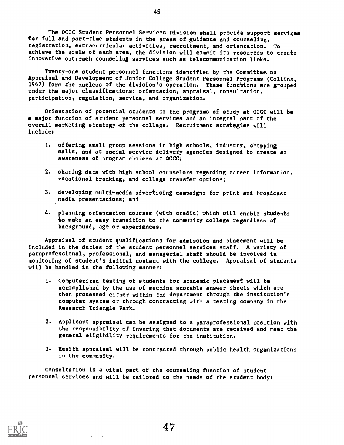The OCCC Student Personnel Services Division shall provide support services for full and part-time students in the areas of guidance and counseling, registration, extracurricular activities, recruitment, and orientation. To achieve the goals of each area, the division will commit its resources to create innovative outreach counseling services such as telecommunication links.

Twenty-one student personnel functions identified by the Committee on Appraisal and Development of Junior College Student Personnel Programs (Collins, 1967) form the nucleus of the division's operation. These functions are grouped under the major classifications: orientation, appraisal, consultation, participation, regulation, service, and organization.

Orientation of potential students to the programs of study at OCCC will be a major function of student personnel services and an integral part of the overall marketing strategy of the college. Recruitment strategies will include:

- 1. offering small group sessions in high schools, industry, shopping malls, and at social service delivery agencies designed to create an awareness of program choices at OCCC;
- 2. sharing data with high school counselors regarding career information, vocational tracking, and college transfer options;
- 3. developing multi-media advertising campaigns for print and broadcast media presentations; and
- 4. planning orientation courses (with credit) which will enable students to make an easy transition to the community college regardless of background, age or experiences.

Appraisal of student qualifications for admission and placement will be included in the duties of the student personnel services staff. A variety of paraprofessional, professional, and managerial staff should be involved in monitoring of student's initial contact with the college. Appraisal of students will be handled in the following manner:

- 1. Computerized testing of students for academic placement will be accomplished by the use of machine scorable answer sheets which are then processed either within the department through the institution's computer system or through contracting with a testing company in the Research Triangle Park.
- 2. Applicant appraisal can be assigned to a paraprofessional position wtth the responsibility of insuring that documents are received and meet the general eligibility requirements for the institution.
- 3. Health appraisal will be contracted through public health organizations in the community.

Consultation is a vital part of the counseling function of student personnel services and will be tailored to the needs of the student body:



45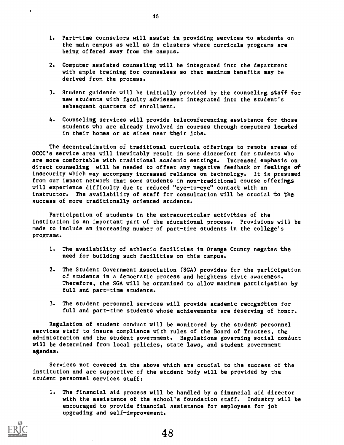- 1. Part-time counselors will assist in providing services to students on the main campus as well as in clusters where curricula programs are being offered away from the campus.
- 2. Computer assisted counseling will be integrated into the department with ample training for counselees so that maximum benefits may be derived from the process.
- 3. Student guidance will be initially provided by the counseling staff for new students with faculty advisement integrated into the student's sebsequent quarters of enrollment.
- 4. Counseling services will provide teleconferencing assistance for those students who are already involved in courses through computers located in their homes or at sites near their jobs.

The decentralization of traditional curricula offerings to remote areas of OCCC's service area will inevitably result in some discomfort for students who are more comfortable with traditional academic settings. Increased emphasis on direct counseling will be needed to offset any negative feedback or feelings of insecurity which may accompany increased reliance on technology. It is presumed from our impact network that some students in non-traditional course offerings will experience difficulty due to reduced "eye-to-eye" contact with an instructor. The availability of staff for consultation will be crucial to the success of more traditionally oriented students.

Participation of students in the extracurricular activities of the institution is an important part of the educational process. Provisions will be made to include an increasing number of part-time students in the college's programs.

- 1. The availability of athletic facilities in Orange County negates the need for building such facilities on this campus.
- 2. The Student Government Association (SGA) provides for the participation of students in a democratic process and heightens civic awareness. Therefore, the SGA will be organized to allow maximum participation by full and part-time students.
- 3. The student personnel services will provide academic recognition for full and part-time students whose achievements are deserving of honor.

Regulation of student conduct will be monitored by the student personnel services staff to insure compliance with rules of the Board of Trustees, the administration and the student government. Regulations governing social conduct will be determined from local policies, state laws, and student government agendas.

Services not covered in the above which are crucial to the success of the institution and are supportive of the student body will be provided by the student personnel services staff:

1. The financial aid process will be handled by a financial aid director with the assistance of the school's foundation staff. Industry will be encouraged to provide financial assistance for employees for job upgrading and self-improvement.



 $\bullet$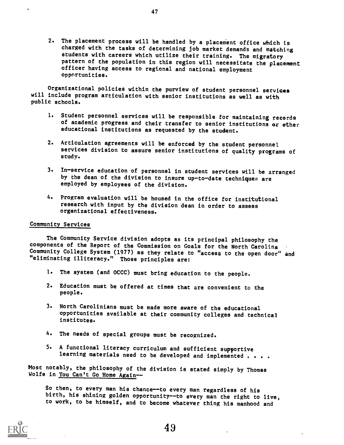2. The placement process will be handled by a placement office which is charged with the tasks of determining job market demands and matching students with careers which utilize their training. The migratory pattern of the population in this region will necessitate the placement officer having access to regional and national employment opportunities.

Organizational policies within the purview of student personnel services will include program articulation with senior institutions as well as with public schools.

- 1. Student personnel services will be responsible for maintaining records of academic progress and their transfer to senior institutions or other educational institutions as requested by the student.
- 2. Articulation agreements will be enforced by the student personnel services division to assure senior institutions of quality programs of study.
- 3. In-service education of personnel in student services will be arranged by the dean of the division to insure up-to-date techniques are employed by employees of the division.
- 4. Program evaluation will be housed in the office for institutional research with input by the division dean in order to assess organizational effectiveness.

#### Community Services

 $\ddot{\phantom{1}}$ 

The Community Service division adopts as its principal philosophy the components of the Report of the Commission on Goals for the North Carolina Community College System (1977) as they relate to "access to the open door" and "eliminating illiteracy." Those principles are:

- 1. The system (and OCCC) must bring education to the people.
- 2. Education must be offered at times that are convenient to the people.
- 3. North Carolinians must be made more aware of the educational opportunities available at their community colleges and technical institutes.
- 4. The needs of special groups must be recognized.
- 5. A functional literacy curriculum and sufficient supportive learning materials need to be developed and implemented . . . .

Most notably, the philosophy of the division is stated simply by Thomas Wolfe in You Can't Go Home Again--

So then, to every man his chance--to every man regardless of his birth, his shining golden opportunity--to every man the right to live, to work, to be himself, and to become whatever thing his manhood and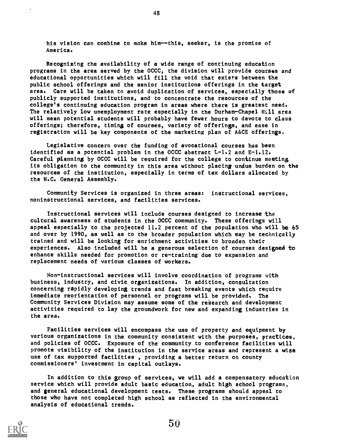his vision can combine to make him--this, seeker, is the promise of America.

Recognizing the availability of a wide range of continuing education programs in the area served by the OCCC, the division will provide courses and educational opportunities which will fill the void that exists between the public school offerings and the senior institutions offerings in the target area. Care will be taken to avoid duplication of services, especially those of publicly supported institutions, and to concentrate the resources of the college's continuing education program in areas where there is greatest need. The relatively low unemployment rate especially in the Durham-Chapel Hill area will mean potential students will probably have fewer hours to devote to class offerings; therefore, timing of courses, variety of offerings, and ease in registration will be key components of the marketing plan of A&CE offerings.

Legislative concern over the funding of avocational courses has been identified as a potential problem in the OCCC abstract L-1.2 and E-1.12. Careful planning by OCCC will be required for the college to continue meeting its obligation to the community in this area without placing undue burden on the resources of the institution, especially in terms of tax dollars allocated by the N.C. General Assembly.

Community Services is organized in three areas: instructional services, noninstructional services, and facilities services.

Instructional services will include courses designed to increase the cultural awareness of students in the OCCC community. These offerings will appeal especially to the projected 11.2 percent of the population who will be 65 and over by 1990, as well as to the broader population which may be technically trained and will be looking for enrichment activities to broaden their experiences. Also included will be a generous selection of courses designed to enhance skills needed for promotion or re-training due to expansion and replacement needs of various classes of workers.

Non-instructional services will involve coordination of programs with business, industry, and civic organizations. In addition, consultation concerning rapidly developing trends and fast breaking events which require immediate reorientation of personnel or programs will be provided. The Community Services Division may assume some of the research and development activities required to lay the groundwork for new and expanding industries in the area.

Facilities services will encompass the use of property and equipment by various organizations in the community consistent with the purposes, practices, and policies of OCCC. Exposure of the community to conference facilities will promote visibility of the institution in the service areas and represent a wise use of tax supported facilities , providing a better return on county commissioners' investment in capital outlays.

In addition to this group of services, we will add a compensatory education service which will provide adult basic education, adult high school programs, and general educational development tests. These programs should appeal to those who have not completed high school as reflected in the environmental analysis of educational trends.

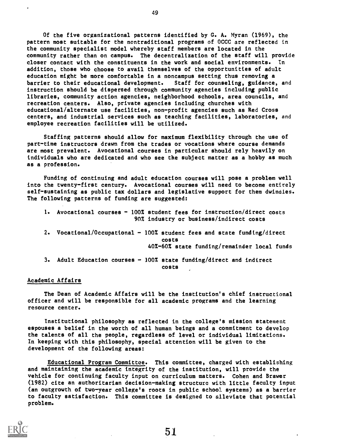Of the five organizational patterns identified by G. A. Myran (1969), the pattern most suitable for the nontraditional programs of OCCC are reflected in the community specialist model whereby staff members are located in the community rather than on campus. The decentralization of the staff will provide closer contact with the constituents in the work and social environments. In addition, those who choose to avail themselves of the opportunities of adult education might be more comfortable in a noncampus setting thus removing a barrier to their educational development. Staff for counseling, guidance, and instruction should be dispersed through community agencies including public libraries, community action agencies, neighborhood schools, area councils, and recreation centers. Also, private agencies including churches with educational/alternate use facilities, non-profit agencies such as Red Cross centers, and industrial services such as teaching facilities, laboratories, and employee recreation facilities will be utilized.

Staffing patterns should allow for maximum flexibility through the use of part-time instructors drawn from the trades or vocations where course demands are most prevalent. Avocational courses in particular should rely heavily on individuals who are dedicated and who see the subject matter as a hobby as much as a profession.

Funding of continuing and adult education courses will pose a problem well into the twenty-first century. Avocational courses will need to become entirely self-sustaining as public tax dollars and legislative support for them dwindles. The following patterns of funding are suggested:

- 1. Avocational courses 100% student fees for instruction/direct costs 90% industry or business/indirect costs
- 2. Vocational/Occupational  $100\%$  student fees and state funding/direct costs 40%-60% state funding/remainder local funds
- 3. Adult Education courses 100% state funding/direct and indirect costs

#### Academic Affairs

The Dean of Academic Affairs will be the institution's chief instructional officer and will be responsible for all academic programs and the learning resource center.

Institutional philosophy as reflected in the college's mission statement espouses a belief in the worth of all human beings and a commitment to develop the talents of all the people, regardless of level or individual limitations. In keeping with this philosophy, special attention will be given to the development of the following areas:

Educational Program Committee. This committee, charged with establishing and maintaining the academic integrity of the institution, will provide the vehicle for continuing faculty input on curriculum matters. Cohen and Brawer (1982) cite an authoritarian decision-making structure with little faculty input (an outgrowth of two-year college's roots in public school systems) as a barrier to faculty satisfaction. This committee is designed to alleviate that potential problem.

49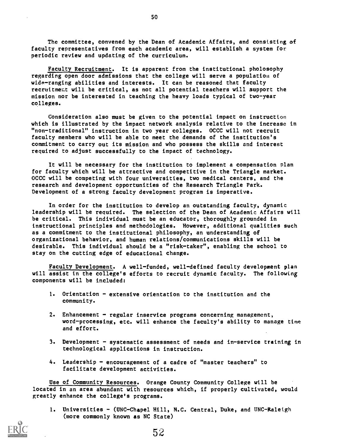The committee, convened by the Dean of Academic Affairs, and consisting of faculty representatives from each academic area, will establish a system for periodic review and updating of the curriculum.

Faculty Recruitment. It is apparent from the institutional pholosophy regarding open door admissions that the college will serve a population of wide-ranging abilities and interests. It can be reasoned that faculty recruitment will be critical, as not all potential teachers will support the mission nor be interested in teaching the heavy loads typical of two-year colleges.

Consideration also must be given to the potential impact on instruction which is illustrated by the impact network analysis relative to the increase in "non-traditional" instruction in two year colleges. OCCC will not recruit faculty members who will be able to meet the demands of the institution's commitment to carry out its mission and who possess the skills and interest required to adjust successfully to the impact of technology.

It will be necessary for the institution to implement a compensation plan for faculty which will be attractive and competitive in the Triangle market. OCCC will be competing with four universities, two medical centers, and the research and development opportunities of the Research Triangle Park. Development of a strong faculty development program is imperative.

In order for the institution to develop an outstanding faculty, dynamic leadership will be required. The selection of the Dean of Academic Affairs will be critical. This individual must be an educator, thoroughly grounded in instructional principles and methodologies. However, additional qualities such as a commitment to the institutional philosophy, an understanding of organizational behavior, and human relations/communications skills will be desirable. This individual should be a "risk-taker", enabling the school to stay on the cutting edge of educational change.

Faculty Development. A well-funded, well-defined faculty development plan will assist in the college's efforts to recruit dynamic faculty. The following components will be included:

- 1. Orientation extensive orientation to the institution and the community.
- 2. Enhancement  $-$  regular inservice programs concerning management, word-processing, etc. will enhance the faculty's ability to manage time and effort.
- 3. Development systematic assessment of needs and in-service training in technological applications in instruction.
- 4. Leadership encouragement of a cadre of "master teachers" to facilitate development activities.

Use of Community Resources. Orange County Community College will be located in an area abundant with resources which, if properly cultivated, would greatly enhance the college's programs.

1. Universities - (UNC-Chapel Hill, N.C. Central, Duke, and UNC-Raleigh (more commonly known as NC State)



52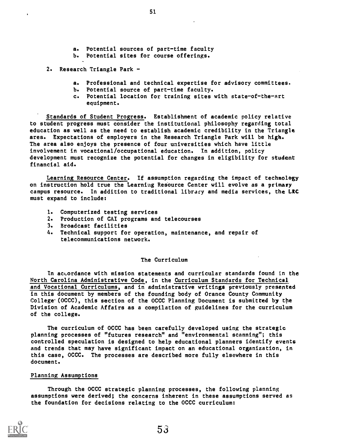- a. Potential sources of part-time faculty
- b. Potential sites for course offerings.
- 2. Research Triangle Park
	- a. Professional and technical expertise for advisory committees.
	- b. Potential source of part-time faculty.
	- c. Potential location for training sites with state-of-the-art equipment.

Standards of Student Progress. Establishment of academic policy relative to student progress must consider the institutional philosophy regarding total education as well as the need to establish academic credibility in the Triangle area. Expectations of employers in the Research Triangle Park will be high. The area also enjoys the presence of four universities which have little involvement in vocational/occupational education. In addition, policy development must recognize the potential for changes in eligibility for student financial aid.

Learning Resource Center. If assumption regarding the impact of technology on instruction hold true the Learning Resource Center will evolve as a primary campus resource. In addition to traditional library and media services, the LRC must expand to include:

- 1. Computerized testing services
- 2. Production of CAI programs and telecourses
- 3. Broadcast facilities
- 4. Technical support for operation, maintenance, and repair of telecommunications network.

#### The Curriculum

In acLordance with mission statements and curricular standards found in the North Carolina Administrative Code, in the Curriculum Standards for Technical and Vocational Curriculums, and in administrative writings previously presented in this document by members of the founding body of Orance County Community College-(OCCC), this section of the OCCC Planning Document is submitted by the Division of Academic Affairs as a compilation of guidelines for the curriculum of the college.

The curriculum of OCCC has been carefully developed using the strategic planning processes of "futures research" and "environmental scanning"; this controlled speculation is designed to help educational planners identify events and trends that may have significant impact on an educational organization, in this case, OCCC. The processes are described more fully elsewhere in this document.

#### Planning Assumptions

Through the OCCC strategic planning processes, the following planning assumptions were derived; the concerns inherent in these assumptions served as the foundation for decisions relating to the OCCC curriculum: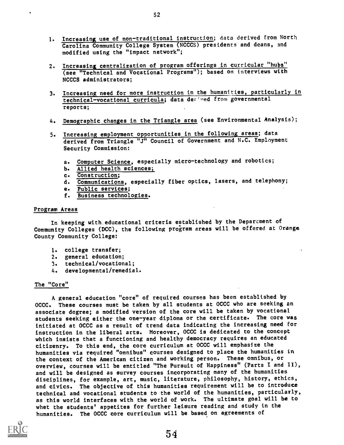- 1. Increasing use of non-traditional instruction; data derived from North Carolina Community College System (NCCCS) presidents and deans, and modified using the "impact network";
- 2. Increasing centralization of program offerings in curricular "huba" (see "Technical and Vocational Programs"); based on interviews with NCCCS administrators;
- 3. Increasing need for more instruction in the humanities, particularly in technical-vocational curricula; data der'ved from governmental reports;
- 4. Demographic changes in the Triangle area (see Environmental Analysis);
- 5. Increasing employment opportunities in the following areas; data derived from Triangle "J" Council of Government and N.C. Employment Security Commission:
	- a. Computer Science, especially micro-technology and robotics;
	- b. Allied health sciences;
	- c. Construction;
	- d. Communications, especially fiber optics, lasers, and telephony;
	- e. Public services;
	- f. Business technologies.

#### Program Areas

In keeping with.educational criteria established by the Deparcment of Community Colleges (DCC), the following program areas will be offered at Orange County Community College:

- 1. college transfer;
- 2. general education;
- 3. technical/vocational;
- 4. developmental/remedial.

#### The "Core"

A general education "core" of required courses has been established by OCCC. These courses must be taken by all students at OCCC who are seeking an associate degree; a modified version of the core will be taken by vocational students seeking either the one-year diploma or the certificate. The core was initiated at OCCC as a result of trend data indicating the increasing need for instruction in the liberal arts. Moreover, OCCC is dedicated to the concept which insists that a functioning and healthy democracy requires an educated citizenry. To this end, the core curriculum at OCCC will emphasize the humanities via required "omnibus" courses designed to place the humanities in the context of the American citizen and working person. These omnibus, or overview, courses will be entitled "The Pursuit of Happiness" (Parts I and II), and will be designed as survey courses incorporating many of the humanities disciplines, for example, art, music, literature, philosophy, history, ethics, and civics. The objective of this humanities requirement will be to introduce technical and vocational students to the world of the humanities, particularly, as this world interfaces with the world of work. The ultimate goal will be to whet the students' appetites for further leisure reading and study in the humanities. The OCCC core curriculum will be based on agreements of

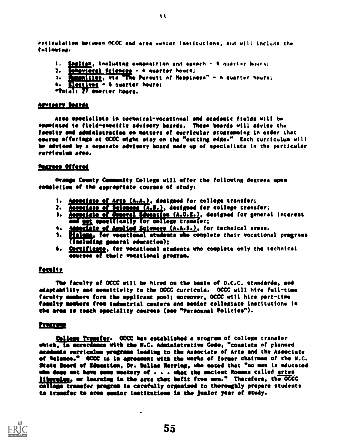dPrtlyeleliee betveen MCC ao4 Orem omnitor tootitutIono, 4n4 wit; Ine1444 the follewing:

- 1. <u>Engliph</u>, including composition and speech 9 quarter hours;
- $\mathbf{P}$ ehavioral Selences - 6 quarter hours:
- $\mathbf{h}$ manitien, via "The Pursuit of Noppiness" - 6 quarter hours;
- 4. **Electives** = 6 quarter hours;
- etotal: 27 quarter hours.

#### **Advisery Beards**

Area epecialists in technical-vocational and academic fields will be eopplated to field=smeelfie advisory boards. These boards will advise the faculty and administration on matters of curricular programming in order that course offerings at OCCC might stay on the "cutting edge." Each curriculum will be advised by a separate advisory board made up of specialists in the particular eerrieelmm ores.

#### **Dearees Offered**

Orange County Community College will offer the following degrees upon rempleties of the appropriate courses of study:

- 1. Accoriate of Arts (A.A.), designed for college transfer;
- 2. **Associate of Sciences (A.S.)**, designed for college transfer;
- ). <u>Accoriate of General Education (A.G.E.)</u>, designed for general interest epeelfically for college transfer; where  $\sim$
- 4. Accoriate of Acolied Sciences (A.A.S.), for technical areas.
- (including general education); S. **Malema, for vocational students who complete their vocational pregrams**
- 6. Certificate, for vocational students who complete only the technical courses of their vocational program.

#### <u>*Peculty*</u>

The faculty of OCCC will be hired on the basis of D.C.C. standards, end adoptaeility sod seeeitivity to the OCCC curricula. OCCC will hire full-time faculty members form the applicant pool; moreover, OCCC will hire part-time foenity embers free industrial centers and senior collegiate institutions in the area to teach speciality courses (see "Personnel Policies").

#### Program

College Transfer. OCCC has established a program of college transfer which, in accordance with the N.C. Administrative Code, "consists of planned academic curriculum pregrams leading to the Associate of Arts and the Associate of Setemee." OCCC is le egreemeat with the worts of former chairman of the N.C. State board et Semeatiom, Or. Dallas lorries, who noted that "no men is educated who deee mot have some meatery of  $\ldots$  , what the ancient Romans called <u>artes</u> liberales, or loarning in the arts that befit free men." Therefore, the OCCC collage transfer program is carefully organised to thoroughly prepare students to treasier to area soder imstitutieee la the junior year of study.



 $\frac{1}{2}$ 

 $\bullet$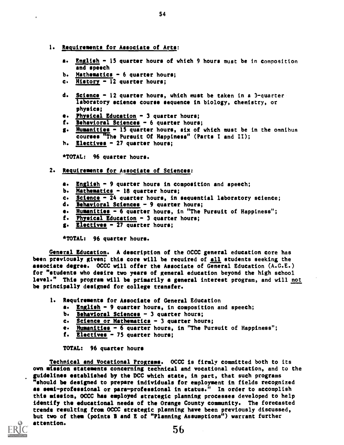1. Requirements for Associate of Arts:

 $\ddot{\phantom{0}}$ 

- a. English 15 quarter hours of which 9 hours must be in composition and speech
- b. Mathematics  $-6$  quarter hours;
- c. History 12 quarter hours;
- d. Science 12 quarter hours, which must be taken in a 3-quarter laboratory science course sequence in biology, chemistry, or physics;
- e. Physical Education 3 quarter hours;
- f. Behavioral Sciences 6 quarter hours;
- g. Humanities 15 quarter hours, six of which must be in the omnibus courses "The Pursuit Of Happiness" (Parts I and II);
- h. Electives 27 quarter hours;

\*TOTAL: 96 quarter hours.

- 2. Requirements for Associate of Sciences:
	- a. English 9 quarter hours in composition and speech;
	- b. Mathematics 18 quarter hours;
	- c. Science 24 quarter hours, in sequential laboratory science;
	- d. Behavioral Sciences 9 quarter hours;
	- e. Humanities 6 quarter hours, in "The Pursuit of Happiness";
	- f. Physical Education 3 quarter hours;
	- g. Electives 27 quarter hours;

\*TOTAL: 96 quarter hours.

General Education. A description of the OCCC general education core has been previously given; this core will be required of all students seeking the associate degree. OCCC will offer the Associate of General Education (A.G.E.) for "students who desire two years of general education beyond the high school level." This program will be primarily a general interest program, and will not be principally designed for college transfer.

- 1. Requirements for Associate of General Education
	- a. English 9 quarter hours, in composition and speech;
	- b. Behavioral Sciences 3 quarter hours;
	- c. Science or Mathematics 3 quarter hours;
	- e. Humanities 6 quarter hours, in "The Pursuit of Happiness";
	- f. Electives 75 quarter hours;

TOTAL: 96 quarter hours

Technical and Vocational Programs. OCCC is firmly committed both to its own mission statements concerning technical and vocational education, and to the guidelines established by the DCC which state, in part, that such programs "should be designed to prepare individuals for employment in fields recognized as semi-professional or para-professional in status." In order to accomplish this mission, OCCC has employed strategic planning processes developed to help identify the educational needs of the Orange County community. The forecasted trends resulting from OCCC strategic planning have been previously discussed, but two of them (points B and E of "Planning Assumptions") warrant further attention. 56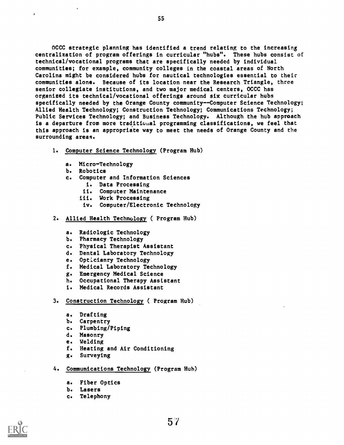OCCC strategic planning has identified a trend relating to the increasing centralization of program offerings in curricular "hubs". These hubs consist of technical/vocational programs that are specifically needed by individual communities; for example, community colleges in the coastal areas of North Carolina might be considered hubs for nautical technologies essential to their communities alone. Because of its location near the Research Triangle, three senior collegiate institutions, and two major medical centers, OCCC has organized its technical/vocational offerings around six curricular hubs specifically needed by the Orange County community--Computer Science Technology; Allied Health Technology; Construction Technology; Communications Technology; Public Services Technology; and Business Technology. Although the hub approach is a departure from more traditional programming classifications, we feel that this approach is an appropriate way to meet the needs of Orange County and the surrounding areas.

- 1. Computer Science Technology (Program Hub)
	- a. Micro-Technology
	- b. Robotics
	- c. Computer and Information Sciences
		- i. Data Processing
		- ii. Computer Maintenance
		- iii. Work Processing
		- iv. Computer/Electronic Technology
- 2. Allied Health Technology ( Program Hub)
	- a. Radiologic Technology
	- b. Pharmacy Technology
	- c. Physical Therapist Assistant
	- d. Dental Laboratory Technology
	- e. Opticianry Technology
	- f. Medical Laboratory Technology
	- g. Emergency Medical Science
	- h. Occupational Therapy Assistant
	- i. Medical Records Assistant
- 3. Construction Technology ( Program Hub)
	- a. Drafting
	- b. Carpentry
	- c. Plumbing/Piping
	- d. Masonry
	- e. Welding
	- f. Heating and Air Conditioning
	- g. Surveying
- 4. Communications Technology (Program Hub)
	- a. Fiber Optics
	- b. Lasers
	- c. Telephony

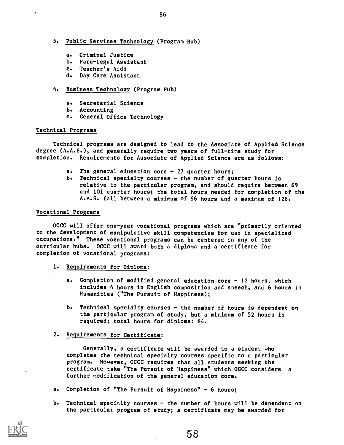- 5. Public Services Technology (Program Hub)
	- a. Criminal Justice
	- b. Para-Legal Assistant
	- c. Teacher's Aids
	- d. Day Care Assistant

#### 6. Business Technology (Program Hub)

- a. Secretarial Science
- b. Accounting
- c. General Office Technology

#### Technical Programs

Technical programs are designed to lead to the Associate of Applied Science degree (A.A.S.), and generally require two years of full-time etudy for completion. Requirements for Associate of Applied Science are as follows:

- a. The general education core  $-27$  quarter hours;
- b. Technical specialty courses the number of quarter hours is relative to the particular program, and should require between 69 and 101 quarter hours; the total hours needed for completion of the A.A.S. fall between a minimum of 96 hours and a maximum of 128.

#### Vocational Programs

OCCC will offer one-year vocational programs which are "primarily oriented to the development of manipulative skill competencies for use in specialized occupations." These vocational programs can be centered in any of the curricular hubs. OCCC will award both a diploma and a certificate for completion of vocational programs:

- 1. Requirements for Diploma:
	- a. Completion of modified general education core 12 hours, which includes 6 hours in English composition and speech, and 6 hours in Humanities ("The Pursuit of Happiness);
	- b. Technical specialty courses the number of hours is dependent on the particular program of study, but a minimum of 52 hours is required; total hours for diploma: 64.

### 2. Requirements for Certificate:

Generally, a certificate will be awarded to a student who completes the technical specialty courses specific to a particular program. However, OCCC requires that all students seeking the certificate take "The Pursuit of Happiness" which OCCC considers a further modification of the general education core.

- a. Completion of "The Pursuit of Happiness" 6 hours;
- b. Technical speci<sub>*ilty* courses  $-$  the number of hours will be dependent on</sub> the particulat program of study; a certificate may be awarded for

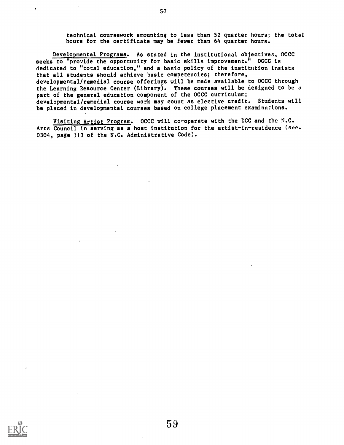technical coursework amounting to less than 52 quarter hours; the total hours for the certificate may be fewer than 64 quarter hours.

Developmental Programs. As stated in the institutional objectives, OCCC seeks to "provide the opportunity for basic skills improvement." OCCC is dedicated to "total education," and a basic policy of the institution insists that all students should achieve basic competencies; therefore, developmental/remedial course offerings will be made available to OCCC through the Learning Resource Center (Library). These courses will be designed to be a part of the general education component of the OCCC curriculum; developmental/remedial course work may count as elective credit. Students will be placed in developmental courses based on college placement examinations.

Visiting Artist Program. OCCC will co-operate with the DCC and the N.C. Arts Council in serving as a host institution for the artist-in-residence (see. 0304, page 113 of the N.C. Administrative Code).



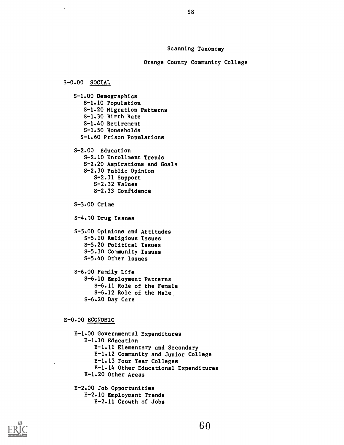#### Scanning Taxonomy

Orange County Community College

#### S-0.00 SOCIAL

S-1.00 Demographics S-1.10 Population S-1.20 Migration Patterns S-1.30 Birth Rate S-1.40 Retirement S-1.50 Households S-1.60 Prison Populations S-2.00 Education S-2.10 Enrollment Trends S-2.20 Aspirations and Goals S-2.30 Public Opinion S-2.31 Support S-2.32 Values S-2.33 Confidence S-3.00 Crime S-4.00 Drug Issues S-5.00 Opinions and Attitudes S-5.10 Religious Issues S-5.20 Political Issues S-5.30 Community Issues S-5.40 Other Issues S-6.00 Family Life S-6.10 Employment Patterns S-6.11 Role of the Female S-6.12 Role of the Male. S-6.20 Day Care

#### E-0.00 ECONOMIC

E-1.00 Governmental Expenditures E-1.10 Education E-1.11 Elementary and Secondary E-1.12 Community and Junior College E-1.13 Four Year Colleges E-1.14 Other Educational Expenditures E-1.20 Other Areas E-2.00 Job Opportunities E-2.10 Employment Trends

E-2.11 Growth of Jobs

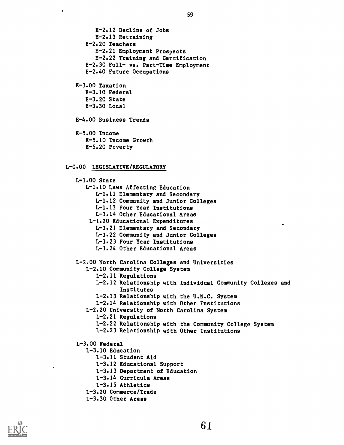E-2.12 Decline of Jobs E-2.13 Retraining E-2.20 Teachers E-2.21 Employment Prospects E-2.22 Training and Certification E-2.30 Full- vs. Part-Time Employment E-2.40 Future Occupations E-3.00 Taxation E-3.10 Federal E-3.20 State E-3.30 Local E-4.00 Business Trends E-5.00 Income E-5.10 Income Growth E-5.20 Poverty L-0.00 LEGISLATIVE/REGULATORY L-1.00 State L-1.10 Laws Affecting Education L-1.11 Elementary and Secondary L-1.12 Community and Junior Colleges L-1.13 Four Year Institutions L-1.14 Other Educational Areas L-1.20 Educational Expenditures L-1.21 Elementary and Secondary L-1.22 Community and Junior Colleges L-1.23 Four Year Institutions L-1.24 Other Educational Areas L-2.00 North Carolina Colleges and Universities L-2.10 Community College System L-2.11 Regulations L-2.12 Relationship with Individual Community Colleges and Institutes L-2.13 Relationship with the U.N.C. System L-2.14 Relationship with Other Institutions L-2.20 University of North Carolina System L-2.21 Regulations L-2.22 Relationship with the Community College System L-2.23 Relationship with Other Institutions L-3.00 Federal L-3.10 Education L-3.11 Student Aid L-3.12 Educational Support L-3.13 Department of Education L-3.14 Curricula Areas L-3.15 Athletics L-3.20 Commerce/Trade



L-3.30 Other Areas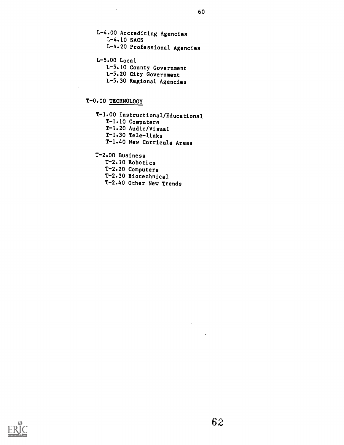L-4.00 Accrediting Agencies L-4.10 SACS L-4.20 Professional Agencies L-5.00 Local

L-5.10 County Government L-5.20 City Government L-5.30 Regional Agencies

# T-0.00 TECHNOLOGY

 $\sim$ 

T-1.00 Instructional/Educational T-1.10 Computers T-1.20 Audio/Visual T-1.30 Tele-links T-1.40 New Curricula Areas

T-2.00 Business

T-2.10 Robotics

T-2.20 Computers

T-2.30 Biotechnical

T-2.40 Other New Trends

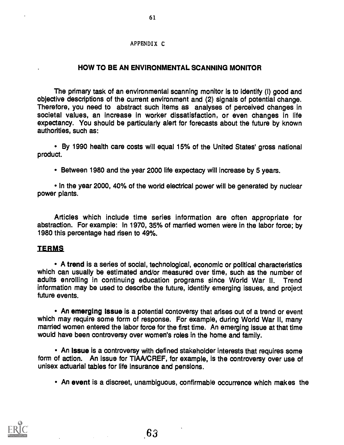#### APPENDIX C

### HOW TO BE AN ENVIRONMENTAL SCANNING MONITOR

The primary task of an environmental scanning monitor is to identify (I) good and objective descriptions of the current environment and (2) signals of potential change. Therefore, you need to abstract such items as analyses of perceived changes in societal values, an increase in worker dissatisfaction, or even changes in life expectancy. You should be particularly alert for forecasts about the future by known authorities, such as:

By 1990 health care costs will equal 15% of the United States' gross national product.

Between 1980 and the year 2000 life expectacy will increase by 5 years.

• In the year 2000, 40% of the world electrical power will be generated by nuclear power plants.

Articles which include time series information are often appropriate for abstraction. For example: In 1970, 35% of married women were in the labor force; by 1980 this percentage had risen to 49%.

### **TERMS**

A trend is a series of social, technological, economic or political characteristics which can usually be estimated and/or measured over time, such as the number of adults enrolling in continuing education programs since World War II. Trend information may be used to describe the future, identify emerging issues, and project future events.

An emerging Issue is a potential contoversy that arises out of a trend or event which may require some form of response. For example, during World War II, many married women entered the labor force for the first time. An emerging issue at that time would have been controversy over women's roles in the home and family.

An issue is a controversy with defined stakeholder interests that requires some form of action. An issue for TIAA/CREF, for example, is the controversy over use of unisex actuarial tables for life insurance and pensions.

An event is a discreet, unambiguous, confirmable occurrence which makes the

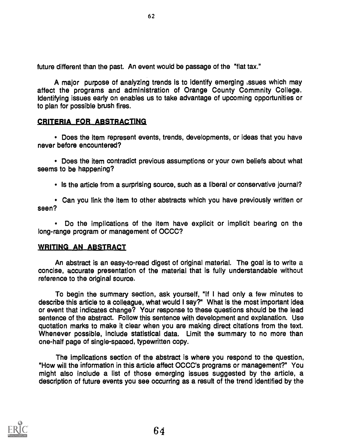future different than the past. An event would be passage of the "flat tax."

A major purpose of analyzing trends is to identify emerging issues which may affect the programs and administration of Orange County Commnity College. Identifying issues early on enables us to take advantage of upcoming opportunities or to plan for possible brush fires.

### CRITERIA FOR ABSTRACTING

Does the item represent events, trends, developments, or ideas that you have never before encountered?

Does the item contradict previous assumptions or your own beliefs about what seems to be happening?

• Is the article from a surprising source, such as a liberal or conservative journal?

Can you link the item to other abstracts which you have previously written or seen?

Do the implications of the item have explicit or implicit bearing on the long-range program or management of OCCC?

## WRITING AN ABSTRACT

An abstract is an easy-to-read digest of original material. The goal is to write a concise, accurate presentation of the material that is fully understandable without reference to the original source.

To begin the summary section, ask yourself, "If I had only a few minutes to describe this article to a colleague, what would I say?" What is the most important idea or event that indicates change? Your response to these questions should be the lead sentence of the abstract. Follow this sentence with development and explanation. Use quotation marks to make it clear when you are making direct citations from the text. Whenever possible, include statistical data. Limit the summary to no more than one-half page of single-spaced, typewritten copy.

The implications section of the abstract is where you respond to the question, "How will the information in this article affect OCCC's programs or management?" You might also include a list of those emerging issues suggested by the article, a description of future events you see occurring as a result of the trend identified by the

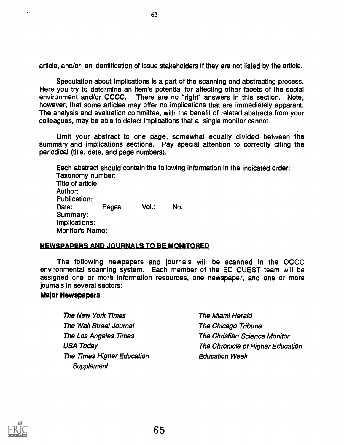article, and/or an identification of issue stakeholders if they are not listed by the article.

Speculation about implications is a part of the scanning and abstracting process. Here you try to determine an item's potential for affecting other facets of the social environment and/or OCCC. There are no "right" answers in this section. Note, however, that some articles may offer no implications that are immediately apparant. The analysis and evaluation committee, with the benefit of related abstracts from your colleagues, may be able to detect implications that a single monitor cannot.

Limit your abstract to one page, somewhat equally divided between the summary and implications sections. Pay special attention to correctly citing the periodical (title, date, and page numbers).

Each abstract should contain the following information in the indicated order: Taxonomy number: Title of article: Author: Publication: Date: Pages: Vol.: No.: Summary: Implications: Monitor's Name:

### NEWSPAPERS AND JOURNALS TO BE MONITORED

The following newpapers and journals will be scanned in the OCCC environmental scanning system. Each member of the ED QUEST team will be assigned one or more information resources, one newspaper, and one or more journals in several sectors:

65

### Major Newspapers

The New York Times The Wall Street Journal The Los Angeles Times USA Today The Times Higher Education **Supplement** 

The Miami Herald The Chicago Tribune The Christian Science Monitor The Chronicle of Higher Education Education Week

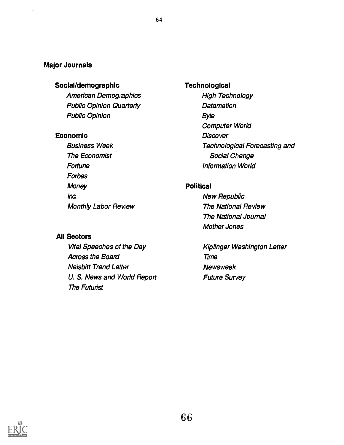### Major Journals

## Social/demographic

American Demographics Public Opinion Quarterly Public Opinion

### Economic

Business Week The Economist Fortune Forbes **Money** Ina Monthly Labor Review

### All Sectors

Vital Speeches of the Day Across the Board Naisbitt Trend Letter U. S. News and World Report The Futurist

# **Technological**

High Technology **Datamation Byte** Computer World **Discover** Technological Forecasting and Social Change Information World

### Political

New Republic The National Review The National Journal Mother Jones

**Kiplinger Washington Letter** Time **Newsweek** Future Survey

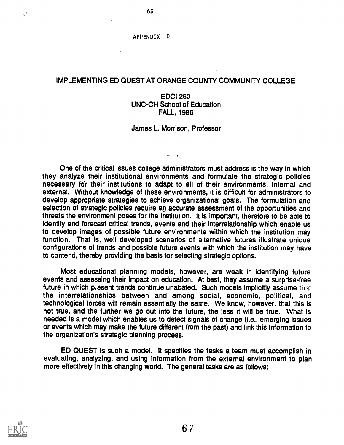#### APPENDIX <sup>D</sup>

65

### IMPLEMENTING ED QUEST AT ORANGE COUNTY COMMUNITY COLLEGE

### EDCI 260 UNC-CH School of Education FALL, 1986

### James L. Morrison, Professor

One of the critical issues college administrators must address is the way in which they analyze their institutional environments and formulate the strategic policies necessary fdr their institutions to adapt to all of their environments, internal and external. Without knowledge of these environments, it is difficult for administrators to develop appropriate strategies to achieve organizational goals. The formulation and selection of strategic policies require an accurate assessment of the opportunities and threats the environment poses for the institution. It is important, therefore to be able to identify and forecast critical trends, events and their interrelationship which enable us to develop images of possible future environments within which the institution may function. That is, well developed scenarios of alternative futures illustrate unique configurations of trends and possible future events with which the institution may have to contend, thereby providing the basis for selecting strategic options.

Most educational planning models, however, are weak in identifying future events and assessing their impact on education. At best, they assume a surprise-free future in which plasent trends continue unabated. Such models implicitly assume that the interrelationships between and among social, economic, political, and technological forces will remain essentially the same. We know, however, that this is not true, and the further we go out into the future, the less it will be true. What is needed is a model which enables us to detect signals of change (i.e., emerging issues or events which may make the future different from the past) and link this information to the organization's strategic planning process.

ED QUEST is such a model. It specifies the tasks a team must accomplish in evaluating, analyzing, and using information from the external environment to plan more effectively in this changing world. The general tasks are as follows:

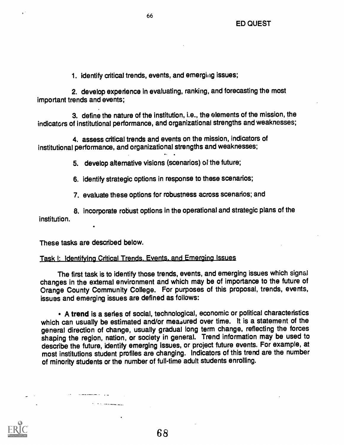1. identify critical trends, events, and emerging issues;

2. develop experience in evaluating, ranking, and forecasting the most important trends and events;

3. define the nature of the institution, i.e., the elements of the mission, the indicators of institutional performance, and organizational strengths and weaknesses;

4. assess critical trends and events on the mission, indicators of institutional performance, and organizational strengths and weaknesses;

5. develop alternative visions (scenarios) of the future;

6. identify strategic options in response to these scenarios;

7. evaluate these options for robustness across scenarios; and

8. incorporate robust options in the operational and strategic plans of the institution.

These tasks are described below.

# Task I: Identifying Critical Trends. Events. and Emerging Issues

The first task is to identify those trends, events, and emerging issues which signal changes in the external environment and which may be of importance to the future of Orange County Community College. For purposes of this proposal, trends, events, issues and emerging issues are defined as follows:

A trend is a series of social, technological, economic or political characteristics which can usually be estimated and/or measured over time. It is a statement of the general direction of change, usually gradual long term change, reflecting the forces shaping the region, nation, or society in general. Trend information may be used to describe the future, identify emerging issues, or project future events. For example, at most institutions student profiles are changing. Indicators of this trend are the number of minority students or the number of full-time adult students enrolling.

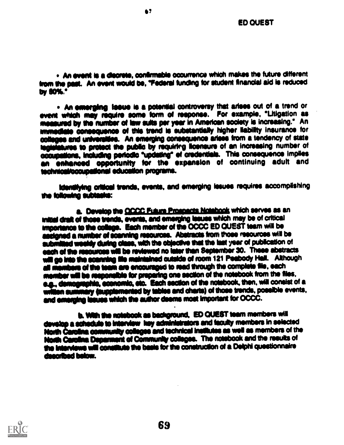. An event is a discrete, confirmable occurrence which makes the future different from the past. An event would be, "Federal funding for student financial aid is reduced by SOW

67

. An emerging issue is a potential controversy that arises out of a trend or event which may require some form of response. For example, "Litigation as amasured by the number of law suits per yew In American society is increasing." An immediate consequence of this trend is substantially higher liability insurance for colleges and universities. An emerging consequence arises from a tendency of state legislatures to protect the public by requiring illcensure of an increasing number of occupations, including periodic "updating" el credentials. This consequence implies an enhanced opportunity for the expansion of continuing adult and technical/cocupational education programs.

identifying oritical trends, events, and emerging issues requires accomplishing ihe Mowing sublaslo:

a. Develop the CCCC Fidum Prospects Notebook which serves as an Initial draft of those trends, events, and emerging issues which may be of critical importance to the college. Each member of the OCCC ED QUEST team will be assigned a number of scanning resources. Abstracts from those resources will be submilled weekly during class, with the objective that the last year of publication of each of the resources will be reviewed no later than September 30. These abstracts will go into the scanning file maintained cutaide of room 121 Peabody Hall. Although all members of the team are encouraged to read through the complete file, each member will be responsible for preparing one section of the notebook from the files. e.g., demographic, economic, etc. Each section of the notebook, then, will consist of a witten summary (supplemented by tables and charts) of those trends, possible events, and emerging leaues which the author deems most important for OCCC.

b. With the notebook as background. ED QUEST team members will davalop a schedule to interview hey administrators and faculty members in selected North Carolina community colleges and technical institutes as well as members of the North Carolina Deparment of Community colleges. The notebook and the results of the interviews will constitute the basis for the construction of a Delphi questionnaire dsemibed below.

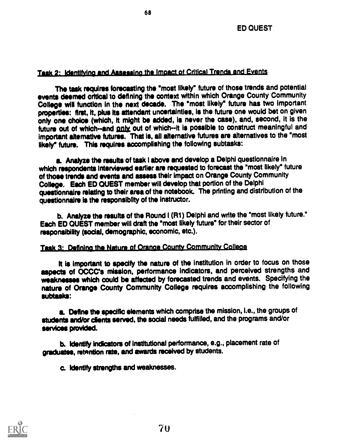# Task 2: Identifying and Assessing the Impact of Critical Trends and Events

The task requires forecasting the °most likely" future of those trends and potential events deemed critical to defining the context within which Orange County Community College will function in the next decade. The \*most likely° future has two important properties: first, it, plus its attendant uncertainties, is the future one would bet on given only one choice (which, it might be added, is never the case), and, second, it is the future out of which-and only out of which--it is possible to construct meaningful and important alternative futures. That is, all alternative futures are alternatives to the "most likely° future. This requires accomplishing the following subtasks:

a. Analyze the results of task I above and develop a Delphi questionnaire in which respondents interviewed earlier are requested to forecast the "most likely" future of those trends and events and assess their impact on Orange County Community College, Each ED QUEST member will develop that portion of the Delphi questionnaire relating to their area of the notebook. The printing and distribution of the questionnaire is the responsibilty of the instructor.

b. Analyze the results of the Round I (R1) Delphi and write the "most likely future." Each ED QUEST member will draft the "most likely future" for their sector of responsibility (social, demographic, economic, etc.).

# Task 3: Defining the Nature of Orange County Community College

It is important to specify the nature of the institution in order to focus on those aspects of OCCC's mission, performance indicators, and perceived strengths and weaknesses which could be affected by forecasted trends and events. Specifying the nature of Orange County Community College requires accomplishing the following subtasks:

a. Define the specific elements which comprise the mission, i.e., the groups of students and/or clients served, the social needs fulfilled, and the programs and/or services provided.

b. Identify indicators of institutional performance, e.g., placement rate of graduates, retantion rate, and awards received by students.

70

C. Identify strengths and weaknesses.

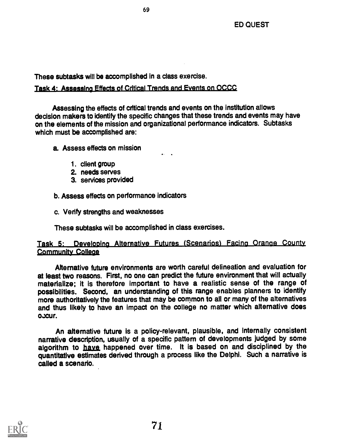These subtasks will be accomplished in a class exercise.

# Task 4: Assessing Effects of Critical Trends and Events on OCCC

Assessing the effects of critical trends and events on the institution allows decision makers to identify the specific changes that these trends and events may have on the elements of the mission and organizational performance indicators. Subtasks which must be accomplished are:

a. Assess effects on mission

- 1. client group
- 2. needs serves
- 3. services provided

b. Assess effects on performance indicators

c. Verify strengths and weaknesses

These subtasks will be accomplished in class exercises.

# Task 5: Developing Alternative Futures (Scenarios) Facing Oranae County Community College

Alternative future environments are worth careful delineation and evaluation for at least two reasons. First, no one can predict the future environment that will actually materialize; it is therefore important to have a realistic sense of the range of possibilities. Second, an understanding of this range enables planners to identify more authoritatively the features that may be common to all or many of the alternatives and thus likely to have an impact on the college no matter which alternative does oxcur.

An alternative future is a policy-relevant, plausible, and internally consistent narrative description, usually of a specific pattern of developments judged by some algorithm to haye happened over time. It is based on and disciplined by the quantitative estimates derived through a process like the Delphi. Such a narrative is called a scenario.

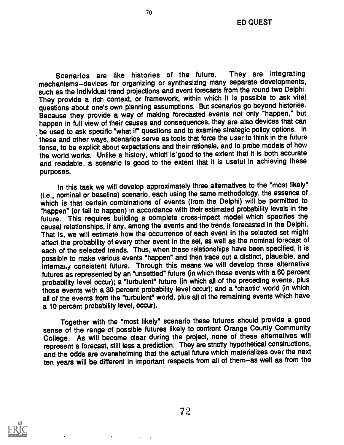Scenarios are like histories of the future. They are integrating mechanisms--devices for organizing or synthesizing many separate developments, such as the individual trend projections and event forecasts from the round two Delphi. They provide a rich context, or framework, within which it is possible to ask vita! questions about one's own planning assumptions. But scenarios go beyond histories. Because they provide a way of making forecasted events not only "happen," but happen in full view of their causes and consequences, they are also devices that can be used to ask specific "what if" questions and to examine strategic policy options. In these and other ways, scenarios serve as tools that force the user to think in the future tense, to be explicit about expectations and their rationale, and to probe models of how the world works. Unlike a history, which' is'good to the extent that it is both accurate and readable, a scenario is good to the extent that it is useful in achieving these purposes.

In this task we will develop approximately three alternatives to the "most likely" (i.e., nominal or baseline) scenario, each using the same methodology, the essence of which is that certain combinations of events (from the Delphi) will be permitted to "happen" (or fail to happen) in accordance with their estimated probability levels in the future. This requires building a complete cross-impact model which specifies the causal relationships, if any, among the events and the trends forecasted in the Delphi. That is, we will estimate how the occurrence of each event in the selected set might affect the probability of every other event in the set, as well as the nominal forecast of each of the selected trends. Thus, when these relationships have been specified, it is possible to make vanous events "happen" and then trace out a distinct, plausible, and internal, y consistent future. Through this means we will develop three alternative futures as represented by an "unsettled" future (in which those events with a 60 percent probability level occur); a "turbulent" future (in which all of the preceding events, plus those events with a 30 percent probability level occur); and a "chaotic' world (in which all of the events from the "turbulent" world, plus all of the remaining events which have a 10 percent probability level, occur).

Together with the "most likely" scenario these futures should provide a good sense of the range of possible futures likely to confront Orange County Community College. As will become clear during the project, none of these alternatives will represent a forecast, still less a prediction. They are strictly hypothetical constructions, and the odds are overwhelming that the actual future which materializes over the next ten years will be different in important respects from all of them--as well as from the

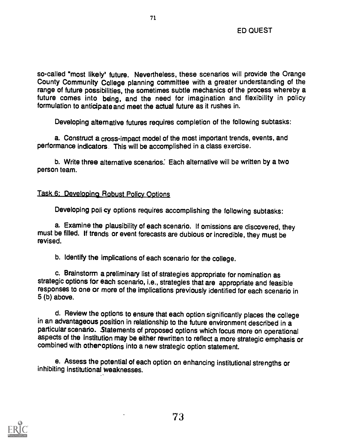so-called "most likely' future. Nevertheless, these scenarios will provide the Orange County Community College planning committee with a greater understanding of the range of future possibilities, the sometimes subtle mechanics of the process whereby a future comes into being, and the need for imagination and flexibility in policy formulation to anticipate and meet the actual future as it rushes in.

71

Developing alternative futures requires completion of the following subtasks:

a. Construct a cross-impact model of the most important trends, events, and performance indicators This will be accomplished in a class exercise.

b. Write three alternative scenarios: Each alternative will be written by a two person team.

## Task 6: Developing Robust Policy Options

Developing poli cy options requires accomplishing the following subtasks:

a. Examine the plausibility of each scenario. If omissions are discovered, they must be filled. If trends or event forecasts are dubious or incredible, they must be revised.

b. Identify the implications of each scenario for the college.

c. Brainstorm a preliminary list of strategies appropriate for nomination as strategic options for each scenario, i.e., strategies that are appropriate and feasible responses to one or more of the implications previously identified for each scenario in 5 (b) above.

d. Review the options to ensure that each option significantly places the college in an advantageous position in relationship to the future environment described in a particular scenario. Statements of proposed options which focus more on operational aspects of the institution may be either rewritten to reflect a more strategic emphasis or combined with other options into a new strategic option statement.

e. Assess the potential of each option on enhancing institutional strengths or inhibiting institutional weaknesses.